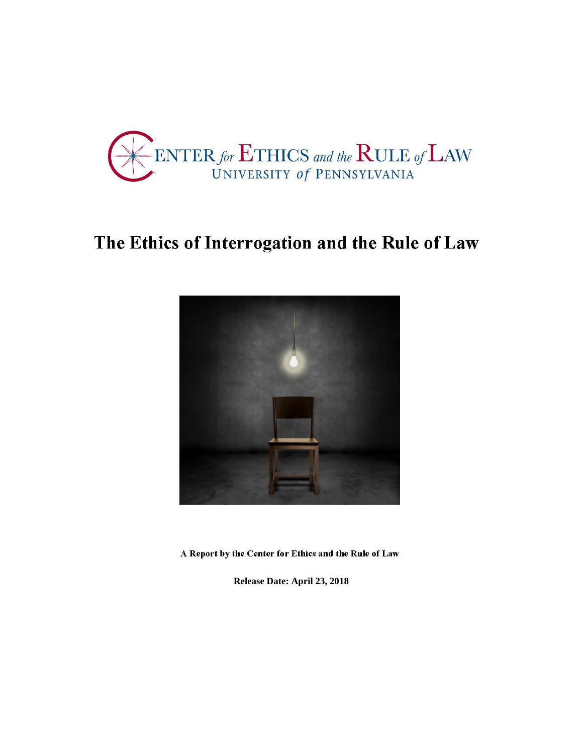

# The Ethics of Interrogation and the Rule of Law



A Report by the Center for Ethics and the Rule of Law

**Release Date: April 23, 2018**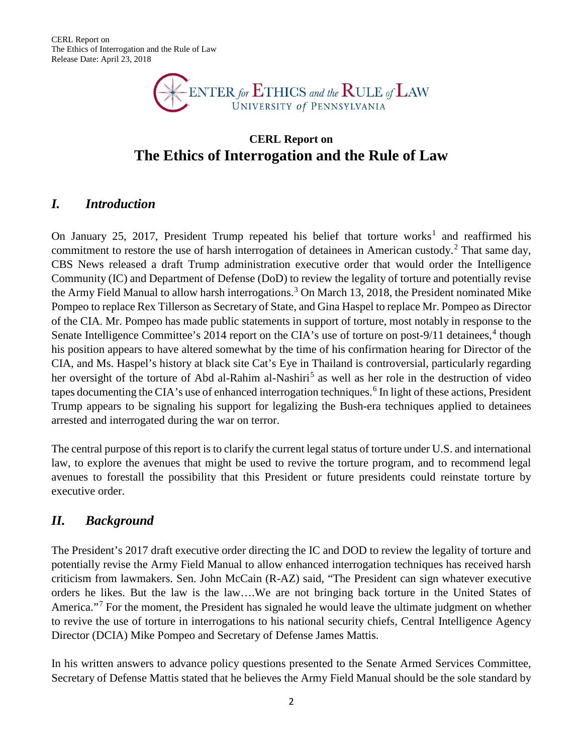CERL Report on The Ethics of Interrogation and the Rule of Law Release Date: April 23, 2018



# **CERL Report on The Ethics of Interrogation and the Rule of Law**

#### *I. Introduction*

On January 25, 20[1](#page-18-0)7, President Trump repeated his belief that torture works<sup>1</sup> and reaffirmed his commitment to restore the use of harsh interrogation of detainees in American custody.<sup>[2](#page-18-1)</sup> That same day, CBS News released a draft Trump administration executive order that would order the Intelligence Community (IC) and Department of Defense (DoD) to review the legality of torture and potentially revise the Army Field Manual to allow harsh interrogations.<sup>[3](#page-18-2)</sup> On March 13, 2018, the President nominated Mike Pompeo to replace Rex Tillerson as Secretary of State, and Gina Haspel to replace Mr. Pompeo as Director of the CIA. Mr. Pompeo has made public statements in support of torture, most notably in response to the Senate Intelligence Committee's 201[4](#page-18-3) report on the CIA's use of torture on post-9/11 detainees,<sup>4</sup> though his position appears to have altered somewhat by the time of his confirmation hearing for Director of the CIA, and Ms. Haspel's history at black site Cat's Eye in Thailand is controversial, particularly regarding her oversight of the torture of Abd al-Rahim al-Nashiri<sup>[5](#page-18-4)</sup> as well as her role in the destruction of video tapes documenting the CIA's use of enhanced interrogation techniques.<sup>[6](#page-18-5)</sup> In light of these actions, President Trump appears to be signaling his support for legalizing the Bush-era techniques applied to detainees arrested and interrogated during the war on terror.

The central purpose of this report is to clarify the current legal status of torture under U.S. and international law, to explore the avenues that might be used to revive the torture program, and to recommend legal avenues to forestall the possibility that this President or future presidents could reinstate torture by executive order.

#### *II. Background*

The President's 2017 draft executive order directing the IC and DOD to review the legality of torture and potentially revise the Army Field Manual to allow enhanced interrogation techniques has received harsh criticism from lawmakers. Sen. John McCain (R-AZ) said, "The President can sign whatever executive orders he likes. But the law is the law….We are not bringing back torture in the United States of America."<sup>[7](#page-18-6)</sup> For the moment, the President has signaled he would leave the ultimate judgment on whether to revive the use of torture in interrogations to his national security chiefs, Central Intelligence Agency Director (DCIA) Mike Pompeo and Secretary of Defense James Mattis.

In his written answers to advance policy questions presented to the Senate Armed Services Committee, Secretary of Defense Mattis stated that he believes the Army Field Manual should be the sole standard by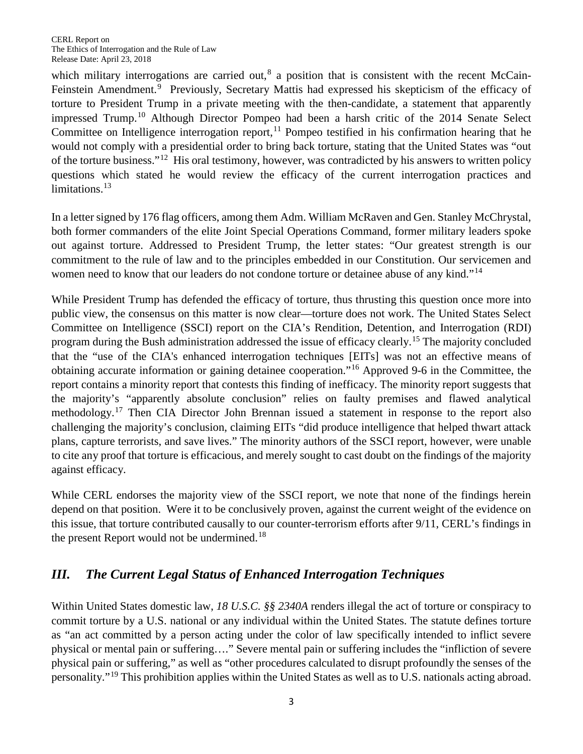which military interrogations are carried out,<sup>[8](#page-18-7)</sup> a position that is consistent with the recent McCain-Feinstein Amendment.<sup>[9](#page-18-8)</sup> Previously, Secretary Mattis had expressed his skepticism of the efficacy of torture to President Trump in a private meeting with the then-candidate, a statement that apparently impressed Trump.<sup>[10](#page-18-9)</sup> Although Director Pompeo had been a harsh critic of the 2014 Senate Select Committee on Intelligence interrogation report,  $\frac{11}{11}$  $\frac{11}{11}$  $\frac{11}{11}$  Pompeo testified in his confirmation hearing that he would not comply with a presidential order to bring back torture, stating that the United States was "out of the torture business."[12](#page-18-11) His oral testimony, however, was contradicted by his answers to written policy questions which stated he would review the efficacy of the current interrogation practices and limitations. $13$ 

In a letter signed by 176 flag officers, among them Adm. William McRaven and Gen. Stanley McChrystal, both former commanders of the elite Joint Special Operations Command, former military leaders spoke out against torture. Addressed to President Trump, the letter states: "Our greatest strength is our commitment to the rule of law and to the principles embedded in our Constitution. Our servicemen and women need to know that our leaders do not condone torture or detainee abuse of any kind."<sup>[14](#page-18-13)</sup>

While President Trump has defended the efficacy of torture, thus thrusting this question once more into public view, the consensus on this matter is now clear—torture does not work. The United States Select Committee on Intelligence (SSCI) report on the CIA's Rendition, Detention, and Interrogation (RDI) program during the Bush administration addressed the issue of efficacy clearly.[15](#page-18-14) The majority concluded that the "use of the CIA's enhanced interrogation techniques [EITs] was not an effective means of obtaining accurate information or gaining detainee cooperation."[16](#page-18-15) Approved 9-6 in the Committee, the report contains a minority report that contests this finding of inefficacy. The minority report suggests that the majority's "apparently absolute conclusion" relies on faulty premises and flawed analytical methodology. [17](#page-18-16) Then CIA Director John Brennan issued a statement in response to the report also challenging the majority's conclusion, claiming EITs "did produce intelligence that helped thwart attack plans, capture terrorists, and save lives." The minority authors of the SSCI report, however, were unable to cite any proof that torture is efficacious, and merely sought to cast doubt on the findings of the majority against efficacy.

While CERL endorses the majority view of the SSCI report, we note that none of the findings herein depend on that position. Were it to be conclusively proven, against the current weight of the evidence on this issue, that torture contributed causally to our counter-terrorism efforts after 9/11, CERL's findings in the present Report would not be undermined.<sup>[18](#page-18-17)</sup>

## *III. The Current Legal Status of Enhanced Interrogation Techniques*

Within United States domestic law, *18 U.S.C. §§ 2340A* renders illegal the act of torture or conspiracy to commit torture by a U.S. national or any individual within the United States. The statute defines torture as "an act committed by a person acting under the color of law specifically intended to inflict severe physical or mental pain or suffering…." Severe mental pain or suffering includes the "infliction of severe physical pain or suffering," as well as "other procedures calculated to disrupt profoundly the senses of the personality."[19](#page-18-18) This prohibition applies within the United States as well as to U.S. nationals acting abroad.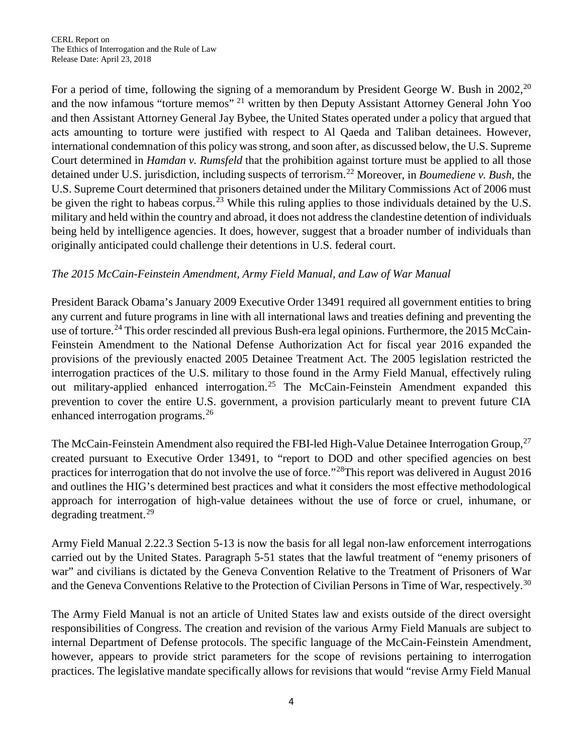For a period of time, following the signing of a memorandum by President George W. Bush in [20](#page-18-19)02,<sup>20</sup> and the now infamous "torture memos" [21](#page-18-20) written by then Deputy Assistant Attorney General John Yoo and then Assistant Attorney General Jay Bybee, the United States operated under a policy that argued that acts amounting to torture were justified with respect to Al Qaeda and Taliban detainees. However, international condemnation of this policy was strong, and soon after, as discussed below, the U.S. Supreme Court determined in *Hamdan v. Rumsfeld* that the prohibition against torture must be applied to all those detained under U.S. jurisdiction, including suspects of terrorism.[22](#page-18-21) Moreover, in *Boumediene v. Bush,* the U.S. Supreme Court determined that prisoners detained under the Military Commissions Act of 2006 must be given the right to habeas corpus.<sup>[23](#page-18-22)</sup> While this ruling applies to those individuals detained by the U.S. military and held within the country and abroad, it does not address the clandestine detention of individuals being held by intelligence agencies. It does, however, suggest that a broader number of individuals than originally anticipated could challenge their detentions in U.S. federal court.

#### *The 2015 McCain-Feinstein Amendment, Army Field Manual, and Law of War Manual*

President Barack Obama's January 2009 Executive Order 13491 required all government entities to bring any current and future programs in line with all international laws and treaties defining and preventing the use of torture.<sup>[24](#page-18-23)</sup> This order rescinded all previous Bush-era legal opinions. Furthermore, the 2015 McCain-Feinstein Amendment to the National Defense Authorization Act for fiscal year 2016 expanded the provisions of the previously enacted 2005 Detainee Treatment Act. The 2005 legislation restricted the interrogation practices of the U.S. military to those found in the Army Field Manual, effectively ruling out military-applied enhanced interrogation.<sup>[25](#page-18-24)</sup> The McCain-Feinstein Amendment expanded this prevention to cover the entire U.S. government, a provision particularly meant to prevent future CIA enhanced interrogation programs.<sup>[26](#page-18-25)</sup>

The McCain-Feinstein Amendment also required the FBI-led High-Value Detainee Interrogation Group,<sup>[27](#page-18-26)</sup> created pursuant to Executive Order 13491, to "report to DOD and other specified agencies on best practices for interrogation that do not involve the use of force."[28T](#page-18-27)his report was delivered in August 2016 and outlines the HIG's determined best practices and what it considers the most effective methodological approach for interrogation of high-value detainees without the use of force or cruel, inhumane, or degrading treatment.<sup>[29](#page-18-28)</sup>

Army Field Manual 2.22.3 Section 5-13 is now the basis for all legal non-law enforcement interrogations carried out by the United States. Paragraph 5-51 states that the lawful treatment of "enemy prisoners of war" and civilians is dictated by the Geneva Convention Relative to the Treatment of Prisoners of War and the Geneva Conventions Relative to the Protection of Civilian Persons in Time of War, respectively.<sup>[30](#page-19-0)</sup>

The Army Field Manual is not an article of United States law and exists outside of the direct oversight responsibilities of Congress. The creation and revision of the various Army Field Manuals are subject to internal Department of Defense protocols. The specific language of the McCain-Feinstein Amendment, however, appears to provide strict parameters for the scope of revisions pertaining to interrogation practices. The legislative mandate specifically allows for revisions that would "revise Army Field Manual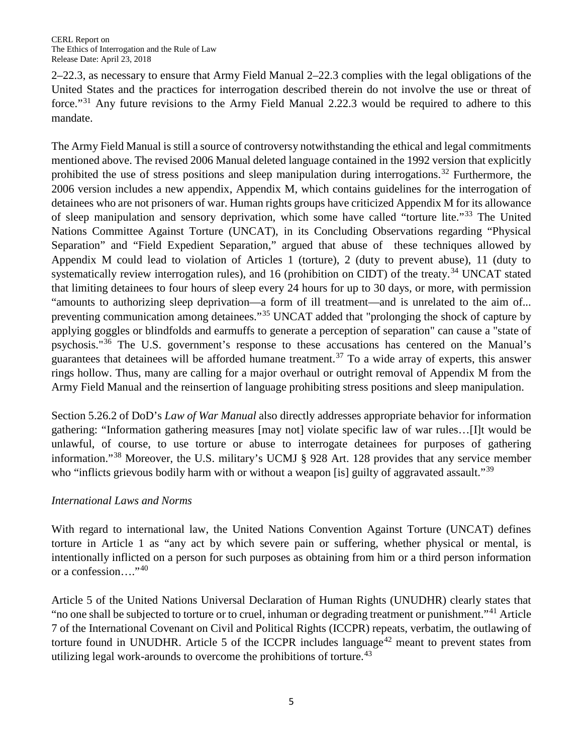2–22.3, as necessary to ensure that Army Field Manual 2–22.3 complies with the legal obligations of the United States and the practices for interrogation described therein do not involve the use or threat of force."<sup>[31](#page-19-1)</sup> Any future revisions to the Army Field Manual 2.22.3 would be required to adhere to this mandate.

The Army Field Manual is still a source of controversy notwithstanding the ethical and legal commitments mentioned above. The revised 2006 Manual deleted language contained in the 1992 version that explicitly prohibited the use of stress positions and sleep manipulation during interrogations.<sup>[32](#page-19-2)</sup> Furthermore, the 2006 version includes a new appendix, Appendix M, which contains guidelines for the interrogation of detainees who are not prisoners of war. Human rights groups have criticized Appendix M for its allowance of sleep manipulation and sensory deprivation, which some have called "torture lite."[33](#page-19-3) The United Nations Committee Against Torture (UNCAT), in its Concluding Observations regarding "Physical Separation" and "Field Expedient Separation," argued that abuse of these techniques allowed by Appendix M could lead to violation of Articles 1 (torture), 2 (duty to prevent abuse), 11 (duty to systematically review interrogation rules), and 16 (prohibition on CIDT) of the treaty.<sup>[34](#page-19-4)</sup> UNCAT stated that limiting detainees to four hours of sleep every 24 hours for up to 30 days, or more, with permission "amounts to authorizing sleep deprivation—a form of ill treatment—and is unrelated to the aim of... preventing communication among detainees."[35](#page-19-5) UNCAT added that "prolonging the shock of capture by applying goggles or blindfolds and earmuffs to generate a perception of separation" can cause a "state of psychosis."[36](#page-19-6) The U.S. government's response to these accusations has centered on the Manual's guarantees that detainees will be afforded humane treatment.<sup>[37](#page-19-7)</sup> To a wide array of experts, this answer rings hollow. Thus, many are calling for a major overhaul or outright removal of Appendix M from the Army Field Manual and the reinsertion of language prohibiting stress positions and sleep manipulation.

Section 5.26.2 of DoD's *Law of War Manual* also directly addresses appropriate behavior for information gathering: "Information gathering measures [may not] violate specific law of war rules…[I]t would be unlawful, of course, to use torture or abuse to interrogate detainees for purposes of gathering information."[38](#page-19-8) Moreover, the U.S. military's UCMJ § 928 Art. 128 provides that any service member who "inflicts grievous bodily harm with or without a weapon [is] guilty of aggravated assault."<sup>[39](#page-19-9)</sup>

#### *International Laws and Norms*

With regard to international law, the United Nations Convention Against Torture (UNCAT) defines torture in Article 1 as "any act by which severe pain or suffering, whether physical or mental, is intentionally inflicted on a person for such purposes as obtaining from him or a third person information or a confession...."<sup>[40](#page-19-10)</sup>

Article 5 of the United Nations Universal Declaration of Human Rights (UNUDHR) clearly states that "no one shall be subjected to torture or to cruel, inhuman or degrading treatment or punishment."[41](#page-19-11) Article 7 of the International Covenant on Civil and Political Rights (ICCPR) repeats, verbatim, the outlawing of torture found in UNUDHR. Article 5 of the ICCPR includes language<sup>[42](#page-19-12)</sup> meant to prevent states from utilizing legal work-arounds to overcome the prohibitions of torture.<sup>[43](#page-19-13)</sup>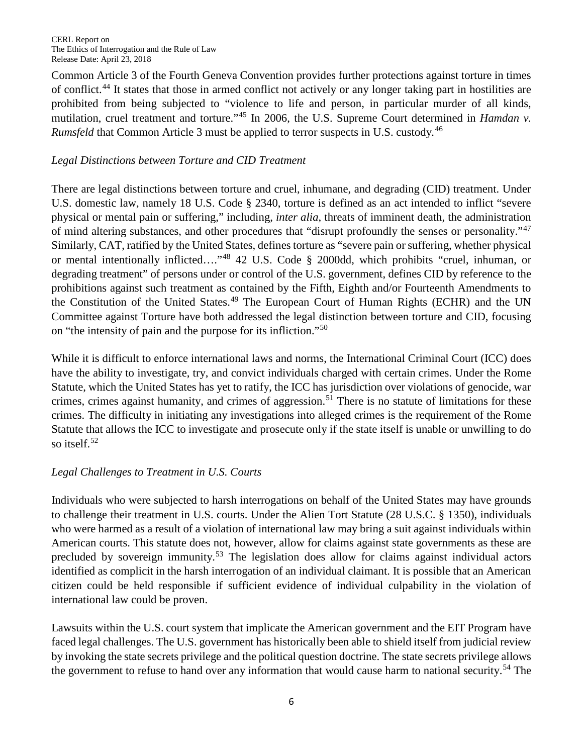Common Article 3 of the Fourth Geneva Convention provides further protections against torture in times of conflict.<sup>[44](#page-19-14)</sup> It states that those in armed conflict not actively or any longer taking part in hostilities are prohibited from being subjected to "violence to life and person, in particular murder of all kinds, mutilation, cruel treatment and torture."<sup>[45](#page-19-15)</sup> In 2006, the U.S. Supreme Court determined in *Hamdan v*. *Rumsfeld* that Common Article 3 must be applied to terror suspects in U.S. custody*.* [46](#page-19-16)

#### *Legal Distinctions between Torture and CID Treatment*

There are legal distinctions between torture and cruel, inhumane, and degrading (CID) treatment. Under U.S. domestic law, namely 18 U.S. Code § 2340, torture is defined as an act intended to inflict "severe physical or mental pain or suffering," including, *inter alia*, threats of imminent death, the administration of mind altering substances, and other procedures that "disrupt profoundly the senses or personality."[47](#page-19-17) Similarly, CAT, ratified by the United States, defines torture as "severe pain or suffering, whether physical or mental intentionally inflicted…."[48](#page-19-18) 42 U.S. Code § 2000dd, which prohibits "cruel, inhuman, or degrading treatment" of persons under or control of the U.S. government, defines CID by reference to the prohibitions against such treatment as contained by the Fifth, Eighth and/or Fourteenth Amendments to the Constitution of the United States.<sup>[49](#page-19-19)</sup> The European Court of Human Rights (ECHR) and the UN Committee against Torture have both addressed the legal distinction between torture and CID, focusing on "the intensity of pain and the purpose for its infliction."[50](#page-19-20)

While it is difficult to enforce international laws and norms, the International Criminal Court (ICC) does have the ability to investigate, try, and convict individuals charged with certain crimes. Under the Rome Statute, which the United States has yet to ratify, the ICC has jurisdiction over violations of genocide, war crimes, crimes against humanity, and crimes of aggression.<sup>[51](#page-19-21)</sup> There is no statute of limitations for these crimes. The difficulty in initiating any investigations into alleged crimes is the requirement of the Rome Statute that allows the ICC to investigate and prosecute only if the state itself is unable or unwilling to do so itself.<sup>[52](#page-19-22)</sup>

#### *Legal Challenges to Treatment in U.S. Courts*

Individuals who were subjected to harsh interrogations on behalf of the United States may have grounds to challenge their treatment in U.S. courts. Under the Alien Tort Statute (28 U.S.C. § 1350), individuals who were harmed as a result of a violation of international law may bring a suit against individuals within American courts. This statute does not, however, allow for claims against state governments as these are precluded by sovereign immunity.<sup>[53](#page-19-23)</sup> The legislation does allow for claims against individual actors identified as complicit in the harsh interrogation of an individual claimant. It is possible that an American citizen could be held responsible if sufficient evidence of individual culpability in the violation of international law could be proven.

Lawsuits within the U.S. court system that implicate the American government and the EIT Program have faced legal challenges. The U.S. government has historically been able to shield itself from judicial review by invoking the state secrets privilege and the political question doctrine. The state secrets privilege allows the government to refuse to hand over any information that would cause harm to national security.<sup>[54](#page-19-24)</sup> The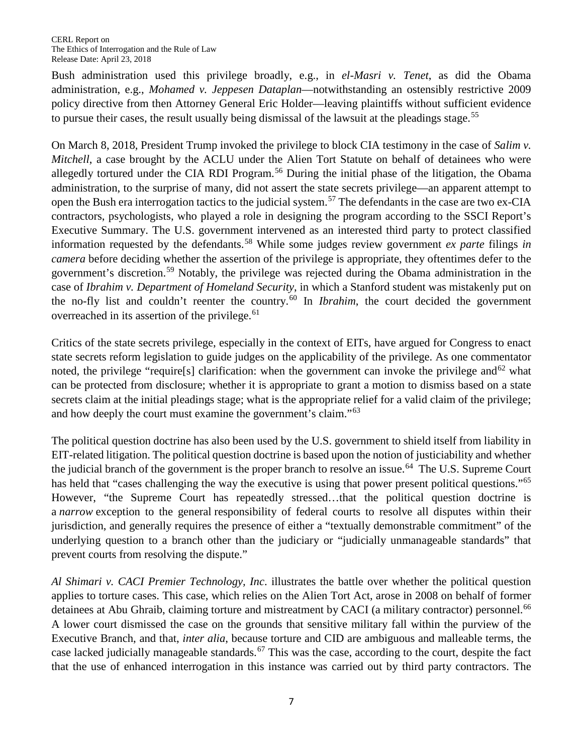Bush administration used this privilege broadly, e.g., in *el-Masri v. Tenet*, as did the Obama administration, e.g., *Mohamed v. Jeppesen Dataplan*—notwithstanding an ostensibly restrictive 2009 policy directive from then Attorney General Eric Holder—leaving plaintiffs without sufficient evidence to pursue their cases, the result usually being dismissal of the lawsuit at the pleadings stage.<sup>[55](#page-19-25)</sup>

On March 8, 2018, President Trump invoked the privilege to block CIA testimony in the case of *Salim v. Mitchell*, a case brought by the ACLU under the Alien Tort Statute on behalf of detainees who were allegedly tortured under the CIA RDI Program.<sup>[56](#page-19-26)</sup> During the initial phase of the litigation, the Obama administration, to the surprise of many, did not assert the state secrets privilege—an apparent attempt to open the Bush era interrogation tactics to the judicial system.[57](#page-19-27) The defendants in the case are two ex-CIA contractors, psychologists, who played a role in designing the program according to the SSCI Report's Executive Summary. The U.S. government intervened as an interested third party to protect classified information requested by the defendants.[58](#page-19-28) While some judges review government *ex parte* filings *in camera* before deciding whether the assertion of the privilege is appropriate, they oftentimes defer to the government's discretion.[59](#page-19-29) Notably, the privilege was rejected during the Obama administration in the case of *Ibrahim v. Department of Homeland Security*, in which a Stanford student was mistakenly put on the no-fly list and couldn't reenter the country.<sup>[60](#page-19-30)</sup> In *Ibrahim*, the court decided the government overreached in its assertion of the privilege. $61$ 

Critics of the state secrets privilege, especially in the context of EITs, have argued for Congress to enact state secrets reform legislation to guide judges on the applicability of the privilege. As one commentator noted, the privilege "require<sup>[s]</sup> clarification: when the government can invoke the privilege and<sup>[62](#page-19-32)</sup> what can be protected from disclosure; whether it is appropriate to grant a motion to dismiss based on a state secrets claim at the initial pleadings stage; what is the appropriate relief for a valid claim of the privilege; and how deeply the court must examine the government's claim."[63](#page-19-33)

The political question doctrine has also been used by the U.S. government to shield itself from liability in EIT-related litigation. The political question doctrine is based upon the notion of justiciability and whether the judicial branch of the government is the proper branch to resolve an issue.<sup>[64](#page-19-34)</sup> The U.S. Supreme Court has held that "cases challenging the way the executive is using that power present political questions."<sup>[65](#page-19-35)</sup> However, "the Supreme Court has repeatedly stressed…that the political question doctrine is a *narrow* exception to the general responsibility of federal courts to resolve all disputes within their jurisdiction, and generally requires the presence of either a "textually demonstrable commitment" of the underlying question to a branch other than the judiciary or "judicially unmanageable standards" that prevent courts from resolving the dispute."

*Al Shimari v. CACI Premier Technology, Inc*. illustrates the battle over whether the political question applies to torture cases. This case, which relies on the Alien Tort Act, arose in 2008 on behalf of former detainees at Abu Ghraib, claiming torture and mistreatment by CACI (a military contractor) personnel.<sup>[66](#page-19-36)</sup> A lower court dismissed the case on the grounds that sensitive military fall within the purview of the Executive Branch, and that, *inter alia*, because torture and CID are ambiguous and malleable terms, the case lacked judicially manageable standards.<sup>[67](#page-20-0)</sup> This was the case, according to the court, despite the fact that the use of enhanced interrogation in this instance was carried out by third party contractors. The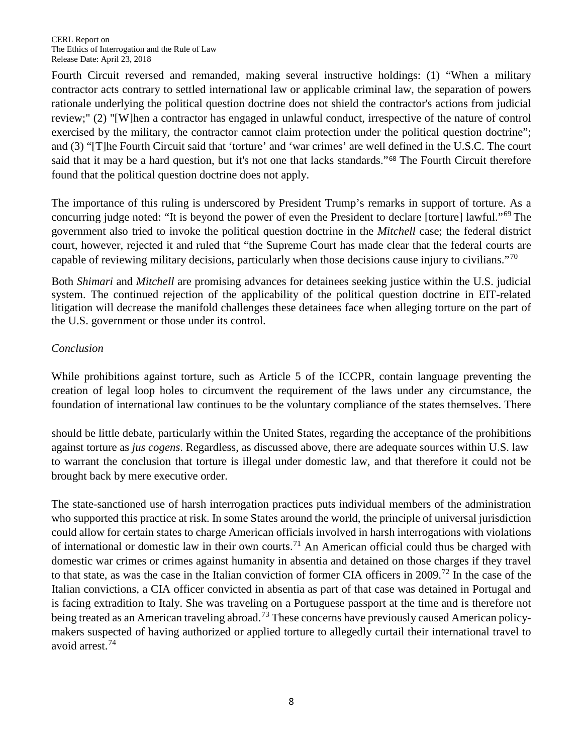Fourth Circuit reversed and remanded, making several instructive holdings: (1) "When a military contractor acts contrary to settled international law or applicable criminal law, the separation of powers rationale underlying the political question doctrine does not shield the contractor's actions from judicial review;" (2) "[W]hen a contractor has engaged in unlawful conduct, irrespective of the nature of control exercised by the military, the contractor cannot claim protection under the political question doctrine"; and (3) "[T]he Fourth Circuit said that 'torture' and 'war crimes' are well defined in the U.S.C. The court said that it may be a hard question, but it's not one that lacks standards."<sup>[68](#page-20-1)</sup> The Fourth Circuit therefore found that the political question doctrine does not apply.

The importance of this ruling is underscored by President Trump's remarks in support of torture. As a concurring judge noted: "It is beyond the power of even the President to declare [torture] lawful."[69](#page-20-2) The government also tried to invoke the political question doctrine in the *Mitchell* case; the federal district court, however, rejected it and ruled that "the Supreme Court has made clear that the federal courts are capable of reviewing military decisions, particularly when those decisions cause injury to civilians."<sup>[70](#page-20-3)</sup>

Both *Shimari* and *Mitchell* are promising advances for detainees seeking justice within the U.S. judicial system. The continued rejection of the applicability of the political question doctrine in EIT-related litigation will decrease the manifold challenges these detainees face when alleging torture on the part of the U.S. government or those under its control.

#### *Conclusion*

While prohibitions against torture, such as Article 5 of the ICCPR, contain language preventing the creation of legal loop holes to circumvent the requirement of the laws under any circumstance, the foundation of international law continues to be the voluntary compliance of the states themselves. There

should be little debate, particularly within the United States, regarding the acceptance of the prohibitions against torture as *jus cogens*. Regardless, as discussed above, there are adequate sources within U.S. law to warrant the conclusion that torture is illegal under domestic law, and that therefore it could not be brought back by mere executive order.

The state-sanctioned use of harsh interrogation practices puts individual members of the administration who supported this practice at risk. In some States around the world, the principle of universal jurisdiction could allow for certain states to charge American officials involved in harsh interrogations with violations of international or domestic law in their own courts.<sup>[71](#page-20-4)</sup> An American official could thus be charged with domestic war crimes or crimes against humanity in absentia and detained on those charges if they travel to that state, as was the case in the Italian conviction of former CIA officers in 2009. [72](#page-20-5) In the case of the Italian convictions, a CIA officer convicted in absentia as part of that case was detained in Portugal and is facing extradition to Italy. She was traveling on a Portuguese passport at the time and is therefore not being treated as an American traveling abroad.<sup>[73](#page-20-6)</sup> These concerns have previously caused American policymakers suspected of having authorized or applied torture to allegedly curtail their international travel to avoid arrest.[74](#page-20-7)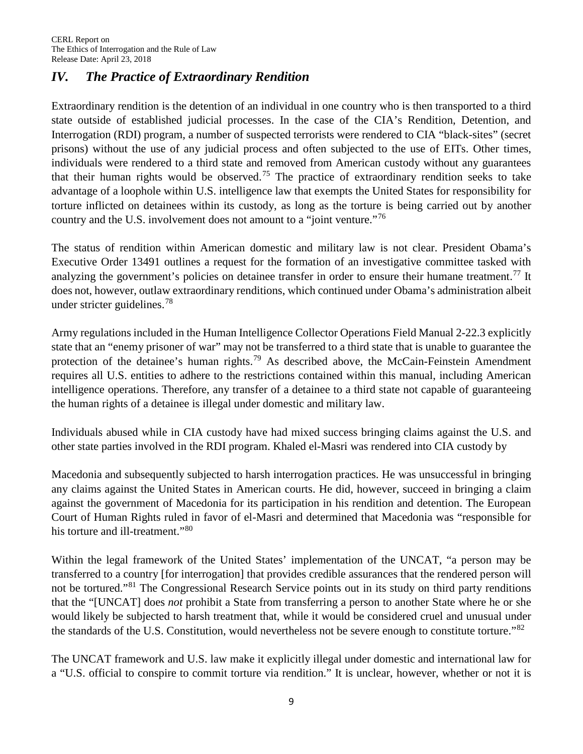## *IV. The Practice of Extraordinary Rendition*

Extraordinary rendition is the detention of an individual in one country who is then transported to a third state outside of established judicial processes. In the case of the CIA's Rendition, Detention, and Interrogation (RDI) program, a number of suspected terrorists were rendered to CIA "black-sites" (secret prisons) without the use of any judicial process and often subjected to the use of EITs. Other times, individuals were rendered to a third state and removed from American custody without any guarantees that their human rights would be observed.<sup>[75](#page-20-8)</sup> The practice of extraordinary rendition seeks to take advantage of a loophole within U.S. intelligence law that exempts the United States for responsibility for torture inflicted on detainees within its custody, as long as the torture is being carried out by another country and the U.S. involvement does not amount to a "joint venture."<sup>[76](#page-20-9)</sup>

The status of rendition within American domestic and military law is not clear. President Obama's Executive Order 13491 outlines a request for the formation of an investigative committee tasked with analyzing the government's policies on detainee transfer in order to ensure their humane treatment.<sup>[77](#page-20-10)</sup> It does not, however, outlaw extraordinary renditions, which continued under Obama's administration albeit under stricter guidelines.<sup>[78](#page-20-11)</sup>

Army regulations included in the Human Intelligence Collector Operations Field Manual 2-22.3 explicitly state that an "enemy prisoner of war" may not be transferred to a third state that is unable to guarantee the protection of the detainee's human rights.<sup>[79](#page-20-12)</sup> As described above, the McCain-Feinstein Amendment requires all U.S. entities to adhere to the restrictions contained within this manual, including American intelligence operations. Therefore, any transfer of a detainee to a third state not capable of guaranteeing the human rights of a detainee is illegal under domestic and military law.

Individuals abused while in CIA custody have had mixed success bringing claims against the U.S. and other state parties involved in the RDI program. Khaled el-Masri was rendered into CIA custody by

Macedonia and subsequently subjected to harsh interrogation practices. He was unsuccessful in bringing any claims against the United States in American courts. He did, however, succeed in bringing a claim against the government of Macedonia for its participation in his rendition and detention. The European Court of Human Rights ruled in favor of el-Masri and determined that Macedonia was "responsible for his torture and ill-treatment."[80](#page-20-13)

Within the legal framework of the United States' implementation of the UNCAT, "a person may be transferred to a country [for interrogation] that provides credible assurances that the rendered person will not be tortured."[81](#page-20-14) The Congressional Research Service points out in its study on third party renditions that the "[UNCAT] does *not* prohibit a State from transferring a person to another State where he or she would likely be subjected to harsh treatment that, while it would be considered cruel and unusual under the standards of the U.S. Constitution, would nevertheless not be severe enough to constitute torture."<sup>[82](#page-20-15)</sup>

The UNCAT framework and U.S. law make it explicitly illegal under domestic and international law for a "U.S. official to conspire to commit torture via rendition." It is unclear, however, whether or not it is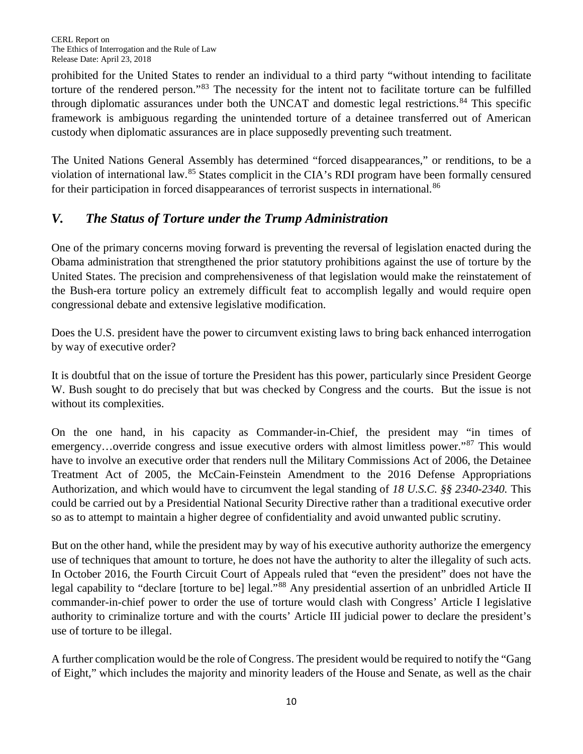prohibited for the United States to render an individual to a third party "without intending to facilitate torture of the rendered person."[83](#page-20-16) The necessity for the intent not to facilitate torture can be fulfilled through diplomatic assurances under both the UNCAT and domestic legal restrictions.<sup>[84](#page-20-17)</sup> This specific framework is ambiguous regarding the unintended torture of a detainee transferred out of American custody when diplomatic assurances are in place supposedly preventing such treatment.

The United Nations General Assembly has determined "forced disappearances," or renditions, to be a violation of international law.[85](#page-20-18) States complicit in the CIA's RDI program have been formally censured for their participation in forced disappearances of terrorist suspects in international*.* [86](#page-20-19)

# *V. The Status of Torture under the Trump Administration*

One of the primary concerns moving forward is preventing the reversal of legislation enacted during the Obama administration that strengthened the prior statutory prohibitions against the use of torture by the United States. The precision and comprehensiveness of that legislation would make the reinstatement of the Bush-era torture policy an extremely difficult feat to accomplish legally and would require open congressional debate and extensive legislative modification.

Does the U.S. president have the power to circumvent existing laws to bring back enhanced interrogation by way of executive order?

It is doubtful that on the issue of torture the President has this power, particularly since President George W. Bush sought to do precisely that but was checked by Congress and the courts. But the issue is not without its complexities.

On the one hand, in his capacity as Commander-in-Chief, the president may "in times of emergency...override congress and issue executive orders with almost limitless power."<sup>[87](#page-20-20)</sup> This would have to involve an executive order that renders null the Military Commissions Act of 2006, the Detainee Treatment Act of 2005, the McCain-Feinstein Amendment to the 2016 Defense Appropriations Authorization, and which would have to circumvent the legal standing of *18 U.S.C. §§ 2340-2340.* This could be carried out by a Presidential National Security Directive rather than a traditional executive order so as to attempt to maintain a higher degree of confidentiality and avoid unwanted public scrutiny.

But on the other hand, while the president may by way of his executive authority authorize the emergency use of techniques that amount to torture, he does not have the authority to alter the illegality of such acts. In October 2016, the Fourth Circuit Court of Appeals ruled that "even the president" does not have the legal capability to "declare [torture to be] legal."<sup>[88](#page-20-21)</sup> Any presidential assertion of an unbridled Article II commander-in-chief power to order the use of torture would clash with Congress' Article I legislative authority to criminalize torture and with the courts' Article III judicial power to declare the president's use of torture to be illegal.

A further complication would be the role of Congress. The president would be required to notify the "Gang of Eight," which includes the majority and minority leaders of the House and Senate, as well as the chair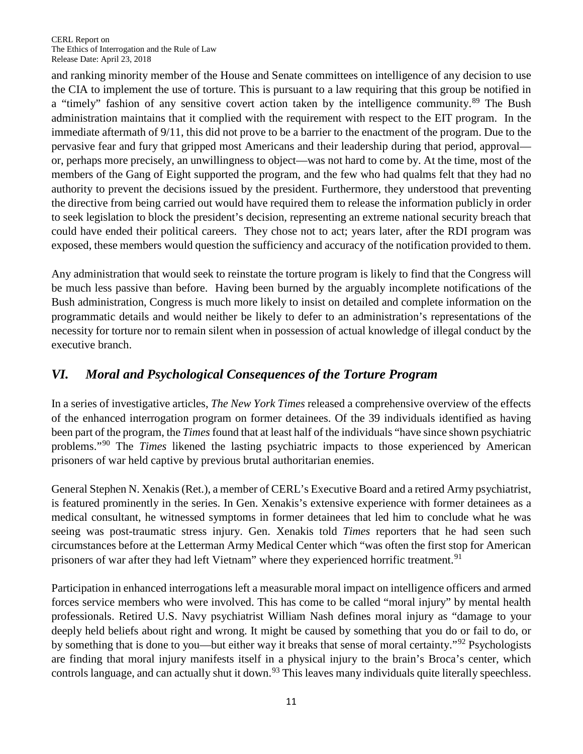and ranking minority member of the House and Senate committees on intelligence of any decision to use the CIA to implement the use of torture. This is pursuant to a law requiring that this group be notified in a "timely" fashion of any sensitive covert action taken by the intelligence community.<sup>[89](#page-20-22)</sup> The Bush administration maintains that it complied with the requirement with respect to the EIT program. In the immediate aftermath of 9/11, this did not prove to be a barrier to the enactment of the program. Due to the pervasive fear and fury that gripped most Americans and their leadership during that period, approval or, perhaps more precisely, an unwillingness to object—was not hard to come by. At the time, most of the members of the Gang of Eight supported the program, and the few who had qualms felt that they had no authority to prevent the decisions issued by the president. Furthermore, they understood that preventing the directive from being carried out would have required them to release the information publicly in order to seek legislation to block the president's decision, representing an extreme national security breach that could have ended their political careers. They chose not to act; years later, after the RDI program was exposed, these members would question the sufficiency and accuracy of the notification provided to them.

Any administration that would seek to reinstate the torture program is likely to find that the Congress will be much less passive than before. Having been burned by the arguably incomplete notifications of the Bush administration, Congress is much more likely to insist on detailed and complete information on the programmatic details and would neither be likely to defer to an administration's representations of the necessity for torture nor to remain silent when in possession of actual knowledge of illegal conduct by the executive branch.

## *VI. Moral and Psychological Consequences of the Torture Program*

In a series of investigative articles, *The New York Times* released a comprehensive overview of the effects of the enhanced interrogation program on former detainees. Of the 39 individuals identified as having been part of the program, the *Times*found that at least half of the individuals "have since shown psychiatric problems."[90](#page-20-23) The *Times* likened the lasting psychiatric impacts to those experienced by American prisoners of war held captive by previous brutal authoritarian enemies.

General Stephen N. Xenakis (Ret.), a member of CERL's Executive Board and a retired Army psychiatrist, is featured prominently in the series. In Gen. Xenakis's extensive experience with former detainees as a medical consultant, he witnessed symptoms in former detainees that led him to conclude what he was seeing was post-traumatic stress injury. Gen. Xenakis told *Times* reporters that he had seen such circumstances before at the Letterman Army Medical Center which "was often the first stop for American prisoners of war after they had left Vietnam" where they experienced horrific treatment.<sup>[91](#page-20-24)</sup>

Participation in enhanced interrogations left a measurable moral impact on intelligence officers and armed forces service members who were involved. This has come to be called "moral injury" by mental health professionals. Retired U.S. Navy psychiatrist William Nash defines moral injury as "damage to your deeply held beliefs about right and wrong. It might be caused by something that you do or fail to do, or by something that is done to you—but either way it breaks that sense of moral certainty."[92](#page-20-25) Psychologists are finding that moral injury manifests itself in a physical injury to the brain's Broca's center, which controls language, and can actually shut it down.<sup>[93](#page-20-26)</sup> This leaves many individuals quite literally speechless.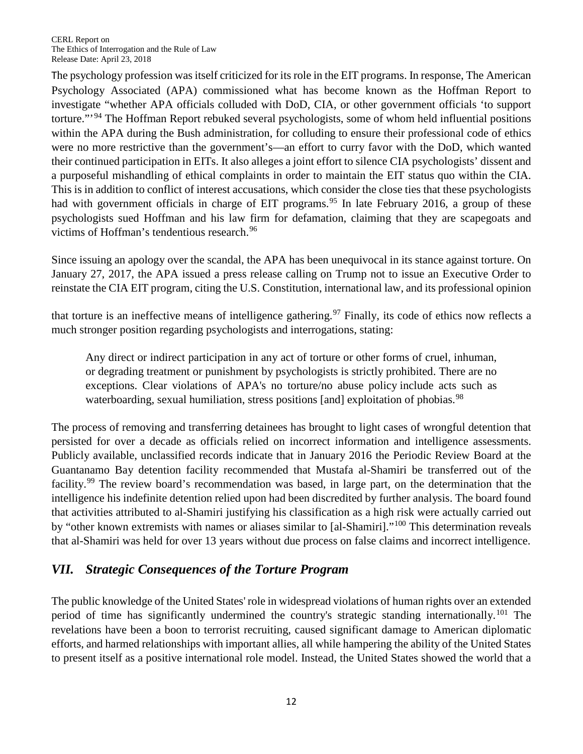The psychology profession was itself criticized for its role in the EIT programs. In response, The American Psychology Associated (APA) commissioned what has become known as the Hoffman Report to investigate "whether APA officials colluded with DoD, CIA, or other government officials 'to support torture."<sup>[94](#page-20-27)</sup> The Hoffman Report rebuked several psychologists, some of whom held influential positions within the APA during the Bush administration, for colluding to ensure their professional code of ethics were no more restrictive than the government's—an effort to curry favor with the DoD, which wanted their continued participation in EITs. It also alleges a joint effort to silence CIA psychologists' dissent and a purposeful mishandling of ethical complaints in order to maintain the EIT status quo within the CIA. This is in addition to conflict of interest accusations, which consider the close ties that these psychologists had with government officials in charge of EIT programs.<sup>[95](#page-20-28)</sup> In late February 2016, a group of these psychologists sued Hoffman and his law firm for defamation, claiming that they are scapegoats and victims of Hoffman's tendentious research.<sup>[96](#page-20-29)</sup>

Since issuing an apology over the scandal, the APA has been unequivocal in its stance against torture. On January 27, 2017, the APA issued a press release calling on Trump not to issue an Executive Order to reinstate the CIA EIT program, citing the U.S. Constitution, international law, and its professional opinion

that torture is an ineffective means of intelligence gathering.<sup>[97](#page-20-30)</sup> Finally, its code of ethics now reflects a much stronger position regarding psychologists and interrogations, stating:

Any direct or indirect participation in any act of torture or other forms of cruel, inhuman, or degrading treatment or punishment by psychologists is strictly prohibited. There are no exceptions. Clear violations of APA's no torture/no abuse policy include acts such as waterboarding, sexual humiliation, stress positions [and] exploitation of phobias.<sup>[98](#page-20-31)</sup>

The process of removing and transferring detainees has brought to light cases of wrongful detention that persisted for over a decade as officials relied on incorrect information and intelligence assessments. Publicly available, unclassified records indicate that in January 2016 the Periodic Review Board at the Guantanamo Bay detention facility recommended that Mustafa al-Shamiri be transferred out of the facility.<sup>[99](#page-21-0)</sup> The review board's recommendation was based, in large part, on the determination that the intelligence his indefinite detention relied upon had been discredited by further analysis. The board found that activities attributed to al-Shamiri justifying his classification as a high risk were actually carried out by "other known extremists with names or aliases similar to [al-Shamiri]."[100](#page-21-1) This determination reveals that al-Shamiri was held for over 13 years without due process on false claims and incorrect intelligence.

## *VII. Strategic Consequences of the Torture Program*

The public knowledge of the United States' role in widespread violations of human rights over an extended period of time has significantly undermined the country's strategic standing internationally.<sup>[101](#page-21-2)</sup> The revelations have been a boon to terrorist recruiting, caused significant damage to American diplomatic efforts, and harmed relationships with important allies, all while hampering the ability of the United States to present itself as a positive international role model. Instead, the United States showed the world that a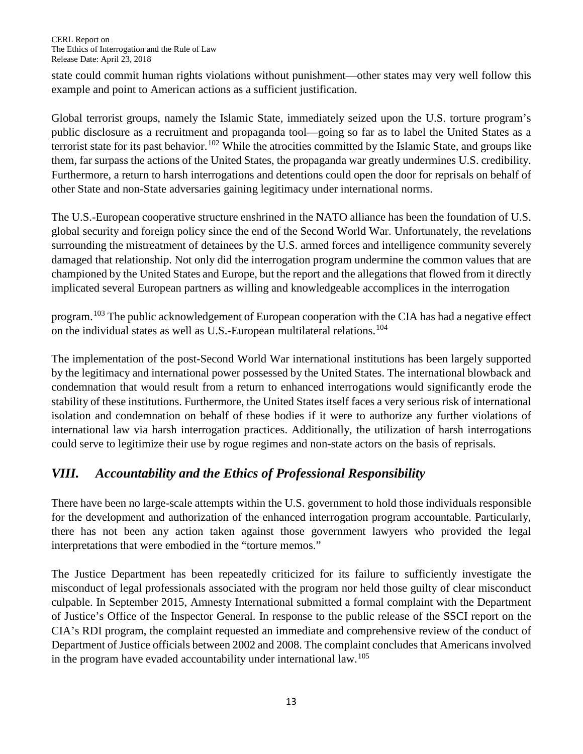state could commit human rights violations without punishment—other states may very well follow this example and point to American actions as a sufficient justification.

Global terrorist groups, namely the Islamic State, immediately seized upon the U.S. torture program's public disclosure as a recruitment and propaganda tool—going so far as to label the United States as a terrorist state for its past behavior.<sup>[102](#page-21-3)</sup> While the atrocities committed by the Islamic State, and groups like them, far surpass the actions of the United States, the propaganda war greatly undermines U.S. credibility. Furthermore, a return to harsh interrogations and detentions could open the door for reprisals on behalf of other State and non-State adversaries gaining legitimacy under international norms.

The U.S.-European cooperative structure enshrined in the NATO alliance has been the foundation of U.S. global security and foreign policy since the end of the Second World War. Unfortunately, the revelations surrounding the mistreatment of detainees by the U.S. armed forces and intelligence community severely damaged that relationship. Not only did the interrogation program undermine the common values that are championed by the United States and Europe, but the report and the allegations that flowed from it directly implicated several European partners as willing and knowledgeable accomplices in the interrogation

program.[103](#page-21-4) The public acknowledgement of European cooperation with the CIA has had a negative effect on the individual states as well as U.S.-European multilateral relations.[104](#page-21-5)

The implementation of the post-Second World War international institutions has been largely supported by the legitimacy and international power possessed by the United States. The international blowback and condemnation that would result from a return to enhanced interrogations would significantly erode the stability of these institutions. Furthermore, the United States itself faces a very serious risk of international isolation and condemnation on behalf of these bodies if it were to authorize any further violations of international law via harsh interrogation practices. Additionally, the utilization of harsh interrogations could serve to legitimize their use by rogue regimes and non-state actors on the basis of reprisals.

# *VIII. Accountability and the Ethics of Professional Responsibility*

There have been no large-scale attempts within the U.S. government to hold those individuals responsible for the development and authorization of the enhanced interrogation program accountable. Particularly, there has not been any action taken against those government lawyers who provided the legal interpretations that were embodied in the "torture memos."

The Justice Department has been repeatedly criticized for its failure to sufficiently investigate the misconduct of legal professionals associated with the program nor held those guilty of clear misconduct culpable. In September 2015, Amnesty International submitted a formal complaint with the Department of Justice's Office of the Inspector General. In response to the public release of the SSCI report on the CIA's RDI program, the complaint requested an immediate and comprehensive review of the conduct of Department of Justice officials between 2002 and 2008. The complaint concludes that Americans involved in the program have evaded accountability under international law.<sup>[105](#page-21-6)</sup>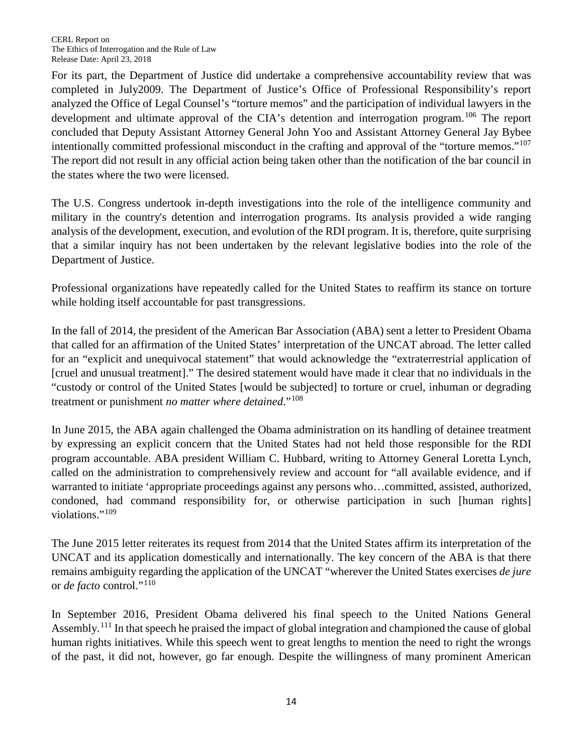For its part, the Department of Justice did undertake a comprehensive accountability review that was completed in July2009. The Department of Justice's Office of Professional Responsibility's report analyzed the Office of Legal Counsel's "torture memos" and the participation of individual lawyers in the development and ultimate approval of the CIA's detention and interrogation program.<sup>[106](#page-21-7)</sup> The report concluded that Deputy Assistant Attorney General John Yoo and Assistant Attorney General Jay Bybee intentionally committed professional misconduct in the crafting and approval of the "torture memos."<sup>[107](#page-21-8)</sup> The report did not result in any official action being taken other than the notification of the bar council in the states where the two were licensed.

The U.S. Congress undertook in-depth investigations into the role of the intelligence community and military in the country's detention and interrogation programs. Its analysis provided a wide ranging analysis of the development, execution, and evolution of the RDI program. It is, therefore, quite surprising that a similar inquiry has not been undertaken by the relevant legislative bodies into the role of the Department of Justice.

Professional organizations have repeatedly called for the United States to reaffirm its stance on torture while holding itself accountable for past transgressions.

In the fall of 2014, the president of the American Bar Association (ABA) sent a letter to President Obama that called for an affirmation of the United States' interpretation of the UNCAT abroad. The letter called for an "explicit and unequivocal statement" that would acknowledge the "extraterrestrial application of [cruel and unusual treatment]." The desired statement would have made it clear that no individuals in the "custody or control of the United States [would be subjected] to torture or cruel, inhuman or degrading treatment or punishment *no matter where detained*."[108](#page-21-9)

In June 2015, the ABA again challenged the Obama administration on its handling of detainee treatment by expressing an explicit concern that the United States had not held those responsible for the RDI program accountable. ABA president William C. Hubbard, writing to Attorney General Loretta Lynch, called on the administration to comprehensively review and account for "all available evidence, and if warranted to initiate 'appropriate proceedings against any persons who…committed, assisted, authorized, condoned, had command responsibility for, or otherwise participation in such [human rights] violations."<sup>[109](#page-21-10)</sup>

The June 2015 letter reiterates its request from 2014 that the United States affirm its interpretation of the UNCAT and its application domestically and internationally. The key concern of the ABA is that there remains ambiguity regarding the application of the UNCAT "wherever the United States exercises *de jure*  or *de facto* control."[110](#page-21-11)

In September 2016, President Obama delivered his final speech to the United Nations General Assembly.<sup>[111](#page-21-12)</sup> In that speech he praised the impact of global integration and championed the cause of global human rights initiatives. While this speech went to great lengths to mention the need to right the wrongs of the past, it did not, however, go far enough. Despite the willingness of many prominent American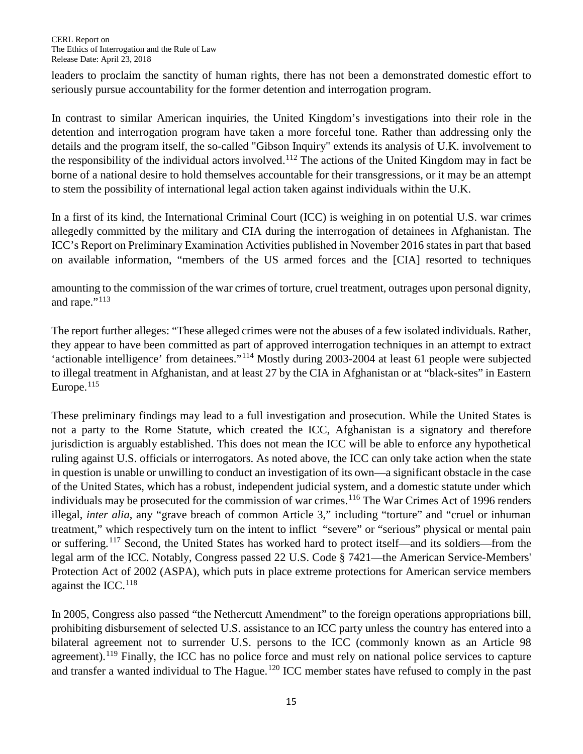leaders to proclaim the sanctity of human rights, there has not been a demonstrated domestic effort to seriously pursue accountability for the former detention and interrogation program.

In contrast to similar American inquiries, the United Kingdom's investigations into their role in the detention and interrogation program have taken a more forceful tone. Rather than addressing only the details and the program itself, the so-called "Gibson Inquiry" extends its analysis of U.K. involvement to the responsibility of the individual actors involved.<sup>[112](#page-21-13)</sup> The actions of the United Kingdom may in fact be borne of a national desire to hold themselves accountable for their transgressions, or it may be an attempt to stem the possibility of international legal action taken against individuals within the U.K.

In a first of its kind, the International Criminal Court (ICC) is weighing in on potential U.S. war crimes allegedly committed by the military and CIA during the interrogation of detainees in Afghanistan. The ICC's Report on Preliminary Examination Activities published in November 2016 states in part that based on available information, "members of the US armed forces and the [CIA] resorted to techniques

amounting to the commission of the war crimes of torture, cruel treatment, outrages upon personal dignity, and rape."<sup>[113](#page-21-14)</sup>

The report further alleges: "These alleged crimes were not the abuses of a few isolated individuals. Rather, they appear to have been committed as part of approved interrogation techniques in an attempt to extract 'actionable intelligence' from detainees."[114](#page-21-15) Mostly during 2003-2004 at least 61 people were subjected to illegal treatment in Afghanistan, and at least 27 by the CIA in Afghanistan or at "black-sites" in Eastern Europe.<sup>[115](#page-21-16)</sup>

These preliminary findings may lead to a full investigation and prosecution. While the United States is not a party to the Rome Statute, which created the ICC, Afghanistan is a signatory and therefore jurisdiction is arguably established. This does not mean the ICC will be able to enforce any hypothetical ruling against U.S. officials or interrogators. As noted above, the ICC can only take action when the state in question is unable or unwilling to conduct an investigation of its own—a significant obstacle in the case of the United States, which has a robust, independent judicial system, and a domestic statute under which individuals may be prosecuted for the commission of war crimes.<sup>[116](#page-21-17)</sup> The War Crimes Act of 1996 renders illegal, *inter alia*, any "grave breach of common Article 3," including "torture" and "cruel or inhuman treatment," which respectively turn on the intent to inflict "severe" or "serious" physical or mental pain or suffering.<sup>[117](#page-21-18)</sup> Second, the United States has worked hard to protect itself—and its soldiers—from the legal arm of the ICC. Notably, Congress passed 22 U.S. Code § 7421—the American Service-Members' Protection Act of 2002 (ASPA), which puts in place extreme protections for American service members against the ICC. $^{118}$  $^{118}$  $^{118}$ 

In 2005, Congress also passed "the Nethercutt Amendment" to the foreign operations appropriations bill, prohibiting disbursement of selected U.S. assistance to an ICC party unless the country has entered into a bilateral agreement not to surrender U.S. persons to the ICC (commonly known as an Article 98 agreement).<sup>[119](#page-21-20)</sup> Finally, the ICC has no police force and must rely on national police services to capture and transfer a wanted individual to The Hague.<sup>[120](#page-21-21)</sup> ICC member states have refused to comply in the past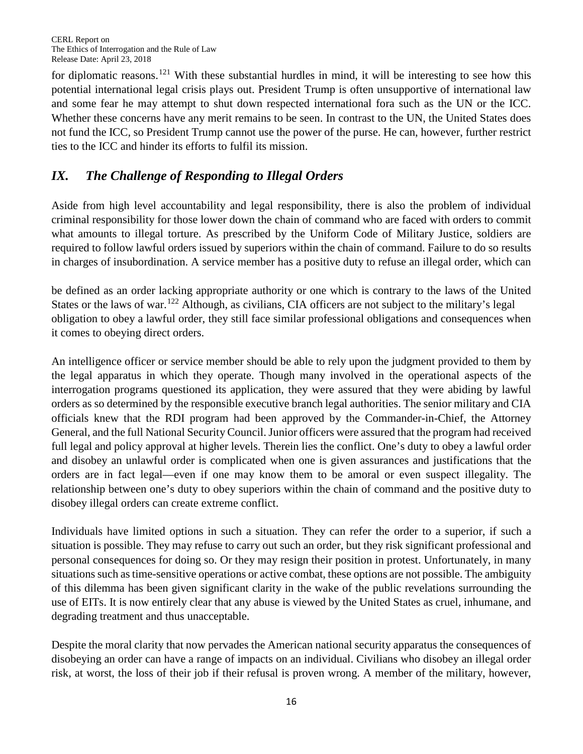for diplomatic reasons.<sup>[121](#page-21-22)</sup> With these substantial hurdles in mind, it will be interesting to see how this potential international legal crisis plays out. President Trump is often unsupportive of international law and some fear he may attempt to shut down respected international fora such as the UN or the ICC. Whether these concerns have any merit remains to be seen. In contrast to the UN, the United States does not fund the ICC, so President Trump cannot use the power of the purse. He can, however, further restrict ties to the ICC and hinder its efforts to fulfil its mission.

# *IX. The Challenge of Responding to Illegal Orders*

Aside from high level accountability and legal responsibility, there is also the problem of individual criminal responsibility for those lower down the chain of command who are faced with orders to commit what amounts to illegal torture. As prescribed by the Uniform Code of Military Justice, soldiers are required to follow lawful orders issued by superiors within the chain of command. Failure to do so results in charges of insubordination. A service member has a positive duty to refuse an illegal order, which can

be defined as an order lacking appropriate authority or one which is contrary to the laws of the United States or the laws of war.<sup>[122](#page-21-23)</sup> Although, as civilians, CIA officers are not subject to the military's legal obligation to obey a lawful order, they still face similar professional obligations and consequences when it comes to obeying direct orders.

An intelligence officer or service member should be able to rely upon the judgment provided to them by the legal apparatus in which they operate. Though many involved in the operational aspects of the interrogation programs questioned its application, they were assured that they were abiding by lawful orders as so determined by the responsible executive branch legal authorities. The senior military and CIA officials knew that the RDI program had been approved by the Commander-in-Chief, the Attorney General, and the full National Security Council. Junior officers were assured that the program had received full legal and policy approval at higher levels. Therein lies the conflict. One's duty to obey a lawful order and disobey an unlawful order is complicated when one is given assurances and justifications that the orders are in fact legal—even if one may know them to be amoral or even suspect illegality. The relationship between one's duty to obey superiors within the chain of command and the positive duty to disobey illegal orders can create extreme conflict.

Individuals have limited options in such a situation. They can refer the order to a superior, if such a situation is possible. They may refuse to carry out such an order, but they risk significant professional and personal consequences for doing so. Or they may resign their position in protest. Unfortunately, in many situations such as time-sensitive operations or active combat, these options are not possible. The ambiguity of this dilemma has been given significant clarity in the wake of the public revelations surrounding the use of EITs. It is now entirely clear that any abuse is viewed by the United States as cruel, inhumane, and degrading treatment and thus unacceptable.

Despite the moral clarity that now pervades the American national security apparatus the consequences of disobeying an order can have a range of impacts on an individual. Civilians who disobey an illegal order risk, at worst, the loss of their job if their refusal is proven wrong. A member of the military, however,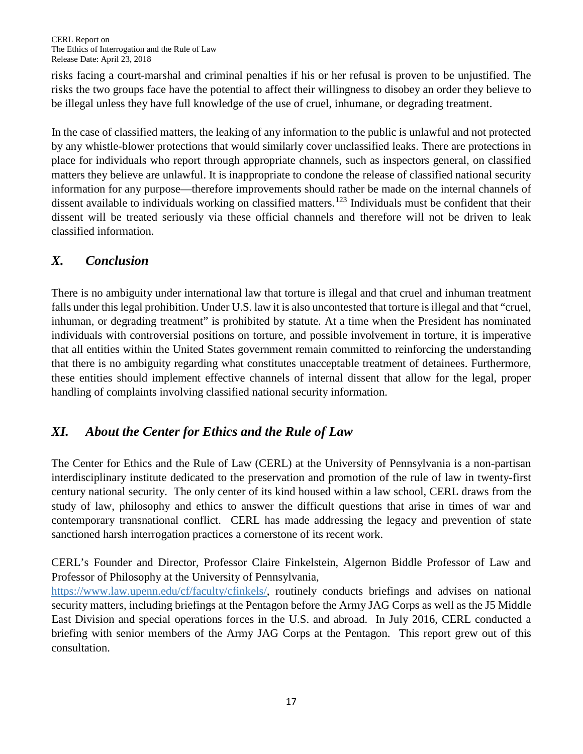risks facing a court-marshal and criminal penalties if his or her refusal is proven to be unjustified. The risks the two groups face have the potential to affect their willingness to disobey an order they believe to be illegal unless they have full knowledge of the use of cruel, inhumane, or degrading treatment.

In the case of classified matters, the leaking of any information to the public is unlawful and not protected by any whistle-blower protections that would similarly cover unclassified leaks. There are protections in place for individuals who report through appropriate channels, such as inspectors general, on classified matters they believe are unlawful. It is inappropriate to condone the release of classified national security information for any purpose—therefore improvements should rather be made on the internal channels of dissent available to individuals working on classified matters.<sup>[123](#page-21-24)</sup> Individuals must be confident that their dissent will be treated seriously via these official channels and therefore will not be driven to leak classified information.

## *X. Conclusion*

There is no ambiguity under international law that torture is illegal and that cruel and inhuman treatment falls under this legal prohibition. Under U.S. law it is also uncontested that torture is illegal and that "cruel, inhuman, or degrading treatment" is prohibited by statute. At a time when the President has nominated individuals with controversial positions on torture, and possible involvement in torture, it is imperative that all entities within the United States government remain committed to reinforcing the understanding that there is no ambiguity regarding what constitutes unacceptable treatment of detainees. Furthermore, these entities should implement effective channels of internal dissent that allow for the legal, proper handling of complaints involving classified national security information.

## *XI. About the Center for Ethics and the Rule of Law*

The Center for Ethics and the Rule of Law (CERL) at the University of Pennsylvania is a non-partisan interdisciplinary institute dedicated to the preservation and promotion of the rule of law in twenty-first century national security. The only center of its kind housed within a law school, CERL draws from the study of law, philosophy and ethics to answer the difficult questions that arise in times of war and contemporary transnational conflict. CERL has made addressing the legacy and prevention of state sanctioned harsh interrogation practices a cornerstone of its recent work.

CERL's Founder and Director, Professor Claire Finkelstein, Algernon Biddle Professor of Law and Professor of Philosophy at the University of Pennsylvania,

[https://www.law.upenn.edu/cf/faculty/cfinkels/,](https://www.law.upenn.edu/cf/faculty/cfinkels/) routinely conducts briefings and advises on national security matters, including briefings at the Pentagon before the Army JAG Corps as well as the J5 Middle East Division and special operations forces in the U.S. and abroad. In July 2016, CERL conducted a briefing with senior members of the Army JAG Corps at the Pentagon. This report grew out of this consultation.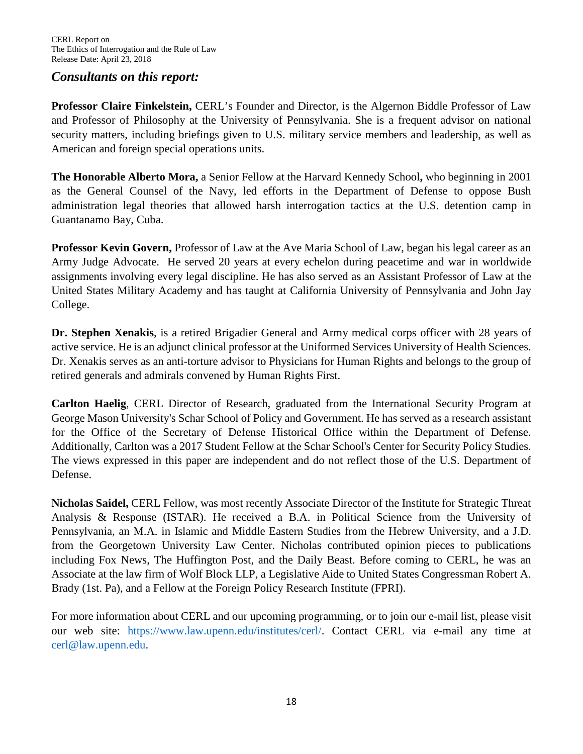#### *Consultants on this report:*

**Professor Claire Finkelstein,** CERL's Founder and Director, is the Algernon Biddle Professor of Law and Professor of Philosophy at the University of Pennsylvania. She is a frequent advisor on national security matters, including briefings given to U.S. military service members and leadership, as well as American and foreign special operations units.

**The Honorable Alberto Mora,** a Senior Fellow at the Harvard Kennedy School**,** who beginning in 2001 as the General Counsel of the Navy, led efforts in the Department of Defense to oppose Bush administration legal theories that allowed harsh interrogation tactics at the U.S. detention camp in Guantanamo Bay, Cuba.

**Professor Kevin Govern,** Professor of Law at the Ave Maria School of Law, began his legal career as an Army Judge Advocate. He served 20 years at every echelon during peacetime and war in worldwide assignments involving every legal discipline. He has also served as an Assistant Professor of Law at the United States Military Academy and has taught at California University of Pennsylvania and John Jay College.

**Dr. Stephen Xenakis**, is a retired Brigadier General and Army medical corps officer with 28 years of active service. He is an adjunct clinical professor at the Uniformed Services University of Health Sciences. Dr. Xenakis serves as an anti-torture advisor to Physicians for Human Rights and belongs to the group of retired generals and admirals convened by Human Rights First.

**Carlton Haelig**, CERL Director of Research, graduated from the International Security Program at George Mason University's Schar School of Policy and Government. He has served as a research assistant for the Office of the Secretary of Defense Historical Office within the Department of Defense. Additionally, Carlton was a 2017 Student Fellow at the Schar School's Center for Security Policy Studies. The views expressed in this paper are independent and do not reflect those of the U.S. Department of Defense.

**Nicholas Saidel,** CERL Fellow, was most recently Associate Director of the Institute for Strategic Threat Analysis & Response (ISTAR). He received a B.A. in Political Science from the University of Pennsylvania, an M.A. in Islamic and Middle Eastern Studies from the Hebrew University, and a J.D. from the Georgetown University Law Center. Nicholas contributed opinion pieces to publications including Fox News, The Huffington Post, and the Daily Beast. Before coming to CERL, he was an Associate at the law firm of Wolf Block LLP, a Legislative Aide to United States Congressman Robert A. Brady (1st. Pa), and a Fellow at the Foreign Policy Research Institute (FPRI).

For more information about CERL and our upcoming programming, or to join our e-mail list, please visit our web site: [https://www.law.upenn.edu/institutes/cerl/.](https://www.law.upenn.edu/institutes/cerl/) Contact CERL via e-mail any time at [cerl@law.upenn.edu.](mailto:cerl@law.upenn.edu)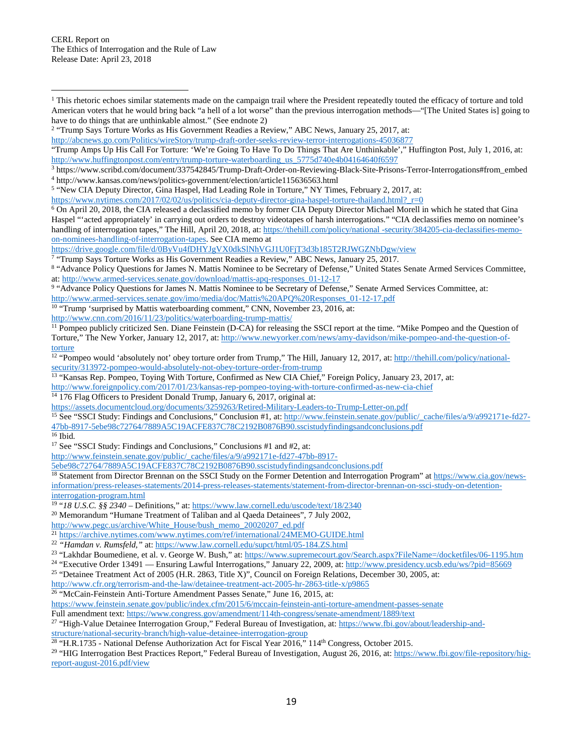[https://www.nytimes.com/2017/02/02/us/politics/cia-deputy-director-gina-haspel-torture-thailand.html?\\_r=0](https://www.nytimes.com/2017/02/02/us/politics/cia-deputy-director-gina-haspel-torture-thailand.html?_r=0)

<https://drive.google.com/file/d/0ByVu4fDHYJgVX0dkSlNhVGJ1U0FjT3d3b185T2RJWGZNbDgw/view>

<span id="page-18-6"></span><sup>7</sup> "Trump Says Torture Works as His Government Readies a Review," ABC News, January 25, 2017.

<sup>10</sup> "Trump 'surprised by Mattis waterboarding comment," CNN, November 23, 2016, at:

<http://www.cnn.com/2016/11/23/politics/waterboarding-trump-mattis/>

<span id="page-18-10"></span><sup>11</sup> Pompeo publicly criticized Sen. Diane Feinstein (D-CA) for releasing the SSCI report at the time. "Mike Pompeo and the Question of Torture," The New Yorker, January 12, 2017, at[: http://www.newyorker.com/news/amy-davidson/mike-pompeo-and-the-question-of](http://www.newyorker.com/news/amy-davidson/mike-pompeo-and-the-question-of-torture)[torture](http://www.newyorker.com/news/amy-davidson/mike-pompeo-and-the-question-of-torture)

<span id="page-18-11"></span><sup>12</sup> "Pompeo would 'absolutely not' obey torture order from Trump," The Hill, January 12, 2017, at: [http://thehill.com/policy/national](http://thehill.com/policy/national-security/313972-pompeo-would-absolutely-not-obey-torture-order-from-trump)[security/313972-pompeo-would-absolutely-not-obey-torture-order-from-trump](http://thehill.com/policy/national-security/313972-pompeo-would-absolutely-not-obey-torture-order-from-trump)

<sup>13</sup> "Kansas Rep. Pompeo, Toying With Torture, Confirmed as New CIA Chief," Foreign Policy, January 23, 2017, at:

<span id="page-18-12"></span><http://www.foreignpolicy.com/2017/01/23/kansas-rep-pompeo-toying-with-torture-confirmed-as-new-cia-chief>

<span id="page-18-13"></span><sup>14</sup> 176 Flag Officers to President Donald Trump, January 6, 2017, original at:

<https://assets.documentcloud.org/documents/3259263/Retired-Military-Leaders-to-Trump-Letter-on.pdf>

<span id="page-18-14"></span><sup>15</sup> See "SSCI Study: Findings and Conclusions," Conclusion #1, at[: http://www.feinstein.senate.gov/public/\\_cache/files/a/9/a992171e-fd27-](http://www.feinstein.senate.gov/public/_cache/files/a/9/a992171e-fd27-47bb-8917-5ebe98c72764/7889A5C19ACFE837C78C2192B0876B90.sscistudyfindingsandconclusions.pdf) [47bb-8917-5ebe98c72764/7889A5C19ACFE837C78C2192B0876B90.sscistudyfindingsandconclusions.pdf](http://www.feinstein.senate.gov/public/_cache/files/a/9/a992171e-fd27-47bb-8917-5ebe98c72764/7889A5C19ACFE837C78C2192B0876B90.sscistudyfindingsandconclusions.pdf)

<span id="page-18-15"></span>

l

<span id="page-18-16"></span><sup>17</sup> See "SSCI Study: Findings and Conclusions," Conclusions  $#1$  and  $#2$ , at:

[http://www.feinstein.senate.gov/public/\\_cache/files/a/9/a992171e-fd27-47bb-8917-](http://www.feinstein.senate.gov/public/_cache/files/a/9/a992171e-fd27-47bb-8917-5ebe98c72764/7889A5C19ACFE837C78C2192B0876B90.sscistudyfindingsandconclusions.pdf)

[5ebe98c72764/7889A5C19ACFE837C78C2192B0876B90.sscistudyfindingsandconclusions.pdf](http://www.feinstein.senate.gov/public/_cache/files/a/9/a992171e-fd27-47bb-8917-5ebe98c72764/7889A5C19ACFE837C78C2192B0876B90.sscistudyfindingsandconclusions.pdf)

<span id="page-18-17"></span><sup>18</sup> Statement from Director Brennan on the SSCI Study on the Former Detention and Interrogation Program" a[t https://www.cia.gov/news](https://www.cia.gov/news-information/press-releases-statements/2014-press-releases-statements/statement-from-director-brennan-on-ssci-study-on-detention-interrogation-program.html)[information/press-releases-statements/2014-press-releases-statements/statement-from-director-brennan-on-ssci-study-on-detention](https://www.cia.gov/news-information/press-releases-statements/2014-press-releases-statements/statement-from-director-brennan-on-ssci-study-on-detention-interrogation-program.html)[interrogation-program.html](https://www.cia.gov/news-information/press-releases-statements/2014-press-releases-statements/statement-from-director-brennan-on-ssci-study-on-detention-interrogation-program.html)

<span id="page-18-18"></span><sup>19</sup> "*18 U.S.C. §§ 2340 –* Definitions," at:<https://www.law.cornell.edu/uscode/text/18/2340>

<span id="page-18-19"></span><sup>20</sup> Memorandum "Humane Treatment of Taliban and al Qaeda Detainees", 7 July 2002,

[http://www.pegc.us/archive/White\\_House/bush\\_memo\\_20020207\\_ed.pdf](http://www.pegc.us/archive/White_House/bush_memo_20020207_ed.pdf)

<span id="page-18-21"></span><sup>22</sup> *"Hamdan v. Rumsfeld,"* at[: https://www.law.cornell.edu/supct/html/05-184.ZS.html](https://www.law.cornell.edu/supct/html/05-184.ZS.html)

<span id="page-18-24"></span><sup>25</sup> "Detainee Treatment Act of 2005 (H.R. 2863, Title X)", Council on Foreign Relations, December 30, 2005, at:

<http://www.cfr.org/terrorism-and-the-law/detainee-treatment-act-2005-hr-2863-title-x/p9865> <sup>26</sup> "McCain-Feinstein Anti-Torture Amendment Passes Senate," June 16, 2015, at:

<span id="page-18-25"></span>

<https://www.feinstein.senate.gov/public/index.cfm/2015/6/mccain-feinstein-anti-torture-amendment-passes-senate>

Full amendment text:<https://www.congress.gov/amendment/114th-congress/senate-amendment/1889/text>

<span id="page-18-26"></span><sup>27</sup> "High-Value Detainee Interrogation Group," Federal Bureau of Investigation, at: [https://www.fbi.gov/about/leadership-and-](https://www.fbi.gov/about/leadership-and-structure/national-security-branch/high-value-detainee-interrogation-group)

[structure/national-security-branch/high-value-detainee-interrogation-group](https://www.fbi.gov/about/leadership-and-structure/national-security-branch/high-value-detainee-interrogation-group)

<span id="page-18-27"></span> $28$  "H.R.1735 - National Defense Authorization Act for Fiscal Year 2016," 114<sup>th</sup> Congress, October 2015.

<span id="page-18-28"></span><sup>29</sup> "HIG Interrogation Best Practices Report," Federal Bureau of Investigation, August 26, 2016, at: [https://www.fbi.gov/file-repository/hig](https://www.fbi.gov/file-repository/hig-report-august-2016.pdf/view)[report-august-2016.pdf/view](https://www.fbi.gov/file-repository/hig-report-august-2016.pdf/view)

<span id="page-18-0"></span> $1$  This rhetoric echoes similar statements made on the campaign trail where the President repeatedly touted the efficacy of torture and told American voters that he would bring back "a hell of a lot worse" than the previous interrogation methods—"[The United States is] going to have to do things that are unthinkable almost." (See endnote 2)

<span id="page-18-1"></span><sup>2</sup> "Trump Says Torture Works as His Government Readies a Review," ABC News, January 25, 2017, at:

<http://abcnews.go.com/Politics/wireStory/trump-draft-order-seeks-review-terror-interrogations-45036877>

<sup>&</sup>quot;Trump Amps Up His Call For Torture: 'We're Going To Have To Do Things That Are Unthinkable'," Huffington Post, July 1, 2016, at: [http://www.huffingtonpost.com/entry/trump-torture-waterboarding\\_us\\_5775d740e4b04164640f6597](http://www.huffingtonpost.com/entry/trump-torture-waterboarding_us_5775d740e4b04164640f6597)

<span id="page-18-3"></span><span id="page-18-2"></span><sup>3</sup> https://www.scribd.com/document/337542845/Trump-Draft-Order-on-Reviewing-Black-Site-Prisons-Terror-Interrogations#from\_embed <sup>4</sup> http://www.kansas.com/news/politics-government/election/article115636563.html

<span id="page-18-4"></span><sup>5</sup> "New CIA Deputy Director, Gina Haspel, Had Leading Role in Torture," NY Times, February 2, 2017, at:

<span id="page-18-5"></span><sup>6</sup> On April 20, 2018, the CIA released a declassified memo by former CIA Deputy Director Michael Morell in which he stated that Gina Haspel "'acted appropriately' in carrying out orders to destroy videotapes of harsh interrogations." "CIA declassifies memo on nominee's handling of interrogation tapes," The Hill, April 20, 2018, at[: https://thehill.com/policy/national -security/384205-cia-declassifies-memo](https://thehill.com/policy/national%20-security/384205-cia-declassifies-memo-on-nominees-handling-of-interrogation-tapes)[on-nominees-handling-of-interrogation-tapes.](https://thehill.com/policy/national%20-security/384205-cia-declassifies-memo-on-nominees-handling-of-interrogation-tapes) See CIA memo at

<span id="page-18-7"></span><sup>8</sup> "Advance Policy Questions for James N. Mattis Nominee to be Secretary of Defense," United States Senate Armed Services Committee, at: [http://www.armed-services.senate.gov/download/mattis-apq-responses\\_01-12-17](http://www.armed-services.senate.gov/download/mattis-apq-responses_01-12-17)

<span id="page-18-8"></span><sup>9</sup> "Advance Policy Questions for James N. Mattis Nominee to be Secretary of Defense," Senate Armed Services Committee, at:

<span id="page-18-9"></span>[http://www.armed-services.senate.gov/imo/media/doc/Mattis%20APQ%20Responses\\_01-12-17.pdf](http://www.armed-services.senate.gov/imo/media/doc/Mattis%20APQ%20Responses_01-12-17.pdf)

<span id="page-18-20"></span><sup>&</sup>lt;sup>21</sup> <https://archive.nytimes.com/www.nytimes.com/ref/international/24MEMO-GUIDE.html>

<span id="page-18-22"></span><sup>&</sup>lt;sup>23</sup> "Lakhdar Boumediene, et al. v. George W. Bush," at:<https://www.supremecourt.gov/Search.aspx?FileName=/docketfiles/06-1195.htm>

<span id="page-18-23"></span><sup>&</sup>lt;sup>24</sup> "Executive Order 13491 — Ensuring Lawful Interrogations," January 22, 2009, at[: http://www.presidency.ucsb.edu/ws/?pid=85669](http://www.presidency.ucsb.edu/ws/?pid=85669)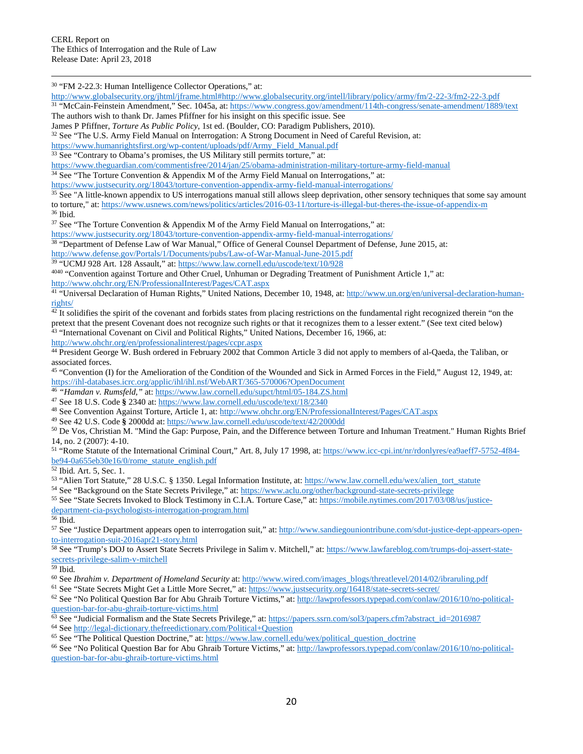$\overline{\phantom{a}}$ 

<span id="page-19-0"></span><sup>30</sup> "FM 2-22.3: Human Intelligence Collector Operations," at:

<span id="page-19-1"></span><http://www.globalsecurity.org/jhtml/jframe.html#http://www.globalsecurity.org/intell/library/policy/army/fm/2-22-3/fm2-22-3.pdf> <sup>31</sup> "McCain-Feinstein Amendment," Sec. 1045a, at[: https://www.congress.gov/amendment/114th-congress/senate-amendment/1889/text](https://www.congress.gov/amendment/114th-congress/senate-amendment/1889/text) The authors wish to thank Dr. James Pfiffner for his insight on this specific issue. See

James P Pfiffner, *Torture As Public Policy*, 1st ed. (Boulder, CO: Paradigm Publishers, 2010).

<span id="page-19-2"></span><sup>32</sup> See "The U.S. Army Field Manual on Interrogation: A Strong Document in Need of Careful Revision, at:

[https://www.humanrightsfirst.org/wp-content/uploads/pdf/Army\\_Field\\_Manual.pdf](https://www.humanrightsfirst.org/wp-content/uploads/pdf/Army_Field_Manual.pdf)

<span id="page-19-3"></span><sup>33</sup> See "Contrary to Obama's promises, the US Military still permits torture," at:

<https://www.theguardian.com/commentisfree/2014/jan/25/obama-administration-military-torture-army-field-manual>

<span id="page-19-4"></span> $34$  See "The Torture Convention & Appendix M of the Army Field Manual on Interrogations," at:

<https://www.justsecurity.org/18043/torture-convention-appendix-army-field-manual-interrogations/>

<span id="page-19-5"></span><sup>35</sup> See "A little-known appendix to US interrogations manual still allows sleep deprivation, other sensory techniques that some say amount to torture," at[: https://www.usnews.com/news/politics/articles/2016-03-11/torture-is-illegal-but-theres-the-issue-of-appendix-m](https://www.usnews.com/news/politics/articles/2016-03-11/torture-is-illegal-but-theres-the-issue-of-appendix-m) 36 [bid.

<span id="page-19-7"></span><span id="page-19-6"></span><sup>37</sup> See "The Torture Convention & Appendix M of the Army Field Manual on Interrogations," at:

<https://www.justsecurity.org/18043/torture-convention-appendix-army-field-manual-interrogations/>

<span id="page-19-8"></span><sup>38</sup> "Department of Defense Law of War Manual," Office of General Counsel Department of Defense, June 2015, at: <http://www.defense.gov/Portals/1/Documents/pubs/Law-of-War-Manual-June-2015.pdf>

<span id="page-19-9"></span><sup>39</sup> "UCMJ 928 Art. 128 Assault," at[: https://www.law.cornell.edu/uscode/text/10/928](https://www.law.cornell.edu/uscode/text/10/928)

<span id="page-19-10"></span><sup>4040</sup> "Convention against Torture and Other Cruel, Unhuman or Degrading Treatment of Punishment Article 1," at: <http://www.ohchr.org/EN/ProfessionalInterest/Pages/CAT.aspx>

<span id="page-19-11"></span><sup>41</sup> "Universal Declaration of Human Rights," United Nations, December 10, 1948, at: [http://www.un.org/en/universal-declaration-human](http://www.un.org/en/universal-declaration-human-rights/)[rights/](http://www.un.org/en/universal-declaration-human-rights/)

<span id="page-19-12"></span> $42$ It solidifies the spirit of the covenant and forbids states from placing restrictions on the fundamental right recognized therein "on the pretext that the present Covenant does not recognize such rights or that it recognizes them to a lesser extent." (See text cited below) <sup>43</sup> "International Covenant on Civil and Political Rights," United Nations, December 16, 1966, at:

<span id="page-19-13"></span><http://www.ohchr.org/en/professionalinterest/pages/ccpr.aspx>

<span id="page-19-14"></span><sup>44</sup> President George W. Bush ordered in February 2002 that Common Article 3 did not apply to members of al-Qaeda, the Taliban, or associated forces.

<span id="page-19-15"></span><sup>45</sup> "Convention (I) for the Amelioration of the Condition of the Wounded and Sick in Armed Forces in the Field," August 12, 1949, at: <https://ihl-databases.icrc.org/applic/ihl/ihl.nsf/WebART/365-570006?OpenDocument>

<span id="page-19-16"></span><sup>46</sup> *"Hamdan v. Rumsfeld,"* at[: https://www.law.cornell.edu/supct/html/05-184.ZS.html](https://www.law.cornell.edu/supct/html/05-184.ZS.html)

<span id="page-19-17"></span><sup>47</sup> See 18 U.S. Code **§** 2340 at[: https://www.law.cornell.edu/uscode/text/18/2340](https://www.law.cornell.edu/uscode/text/18/2340)

<span id="page-19-18"></span><sup>48</sup> See Convention Against Torture, Article 1, at:<http://www.ohchr.org/EN/ProfessionalInterest/Pages/CAT.aspx>

<span id="page-19-19"></span><sup>49</sup> See 42 U.S. Code **§** 2000dd at[: https://www.law.cornell.edu/uscode/text/42/2000dd](https://www.law.cornell.edu/uscode/text/42/2000dd)

<span id="page-19-20"></span><sup>50</sup> De Vos, Christian M. "Mind the Gap: Purpose, Pain, and the Difference between Torture and Inhuman Treatment." Human Rights Brief

<span id="page-19-21"></span>14, no. 2 (2007): 4-10.<br><sup>51</sup> "Rome Statute of the International Criminal Court," Art. 8, July 17 1998, at[: https://www.icc-cpi.int/nr/rdonlyres/ea9aeff7-5752-4f84](https://www.icc-cpi.int/nr/rdonlyres/ea9aeff7-5752-4f84-be94-0a655eb30e16/0/rome_statute_english.pdf) [be94-0a655eb30e16/0/rome\\_statute\\_english.pdf](https://www.icc-cpi.int/nr/rdonlyres/ea9aeff7-5752-4f84-be94-0a655eb30e16/0/rome_statute_english.pdf)

<span id="page-19-22"></span> $\overline{52}$  Ibid. Art. 5, Sec. 1.

<span id="page-19-23"></span>53 "Alien Tort Statute," 28 U.S.C. § 1350. Legal Information Institute, at: [https://www.law.cornell.edu/wex/alien\\_tort\\_statute](https://www.law.cornell.edu/wex/alien_tort_statute)

<span id="page-19-24"></span><sup>54</sup> See "Background on the State Secrets Privilege," at:<https://www.aclu.org/other/background-state-secrets-privilege>

<span id="page-19-25"></span><sup>55</sup> See "State Secrets Invoked to Block Testimony in C.I.A. Torture Case," at[: https://mobile.nytimes.com/2017/03/08/us/justice](https://mobile.nytimes.com/2017/03/08/us/justice-department-cia-psychologists-interrogation-program.html)[department-cia-psychologists-interrogation-program.html](https://mobile.nytimes.com/2017/03/08/us/justice-department-cia-psychologists-interrogation-program.html)

<span id="page-19-27"></span><span id="page-19-26"></span>57 See "Justice Department appears open to interrogation suit," at[: http://www.sandiegouniontribune.com/sdut-justice-dept-appears-open](http://www.sandiegouniontribune.com/sdut-justice-dept-appears-open-to-interrogation-suit-2016apr21-story.html)[to-interrogation-suit-2016apr21-story.html](http://www.sandiegouniontribune.com/sdut-justice-dept-appears-open-to-interrogation-suit-2016apr21-story.html)

<span id="page-19-28"></span>58 See "Trump's DOJ to Assert State Secrets Privilege in Salim v. Mitchell," at: [https://www.lawfareblog.com/trumps-doj-assert-state](https://www.lawfareblog.com/trumps-doj-assert-state-secrets-privilege-salim-v-mitchell)[secrets-privilege-salim-v-mitchell](https://www.lawfareblog.com/trumps-doj-assert-state-secrets-privilege-salim-v-mitchell)<br>59 Ibid.

<span id="page-19-29"></span>

<span id="page-19-30"></span><sup>59</sup> Ibid. 60 See *Ibrahim v. Department of Homeland Security* at[: http://www.wired.com/images\\_blogs/threatlevel/2014/02/ibraruling.pdf](http://www.wired.com/images_blogs/threatlevel/2014/02/ibraruling.pdf)

<span id="page-19-31"></span><sup>61</sup> See "State Secrets Might Get a Little More Secret," at[: https://www.justsecurity.org/16418/state-secrets-secret/](https://www.justsecurity.org/16418/state-secrets-secret/)

<span id="page-19-32"></span><sup>62</sup> See "No Political Question Bar for Abu Ghraib Torture Victims," at: [http://lawprofessors.typepad.com/conlaw/2016/10/no-political](http://lawprofessors.typepad.com/conlaw/2016/10/no-political-question-bar-for-abu-ghraib-torture-victims.html)[question-bar-for-abu-ghraib-torture-victims.html](http://lawprofessors.typepad.com/conlaw/2016/10/no-political-question-bar-for-abu-ghraib-torture-victims.html)

<span id="page-19-33"></span><sup>63</sup> See "Judicial Formalism and the State Secrets Privilege," at: [https://papers.ssrn.com/sol3/papers.cfm?abstract\\_id=2016987](https://papers.ssrn.com/sol3/papers.cfm?abstract_id=2016987)

<span id="page-19-34"></span><sup>64</sup> Se[e http://legal-dictionary.thefreedictionary.com/Political+Question](http://legal-dictionary.thefreedictionary.com/Political+Question)

<span id="page-19-35"></span><sup>65</sup> See "The Political Question Doctrine," at: [https://www.law.cornell.edu/wex/political\\_question\\_doctrine](https://www.law.cornell.edu/wex/political_question_doctrine)

<span id="page-19-36"></span><sup>66</sup> See "No Political Question Bar for Abu Ghraib Torture Victims," at: [http://lawprofessors.typepad.com/conlaw/2016/10/no-political](http://lawprofessors.typepad.com/conlaw/2016/10/no-political-question-bar-for-abu-ghraib-torture-victims.html)[question-bar-for-abu-ghraib-torture-victims.html](http://lawprofessors.typepad.com/conlaw/2016/10/no-political-question-bar-for-abu-ghraib-torture-victims.html)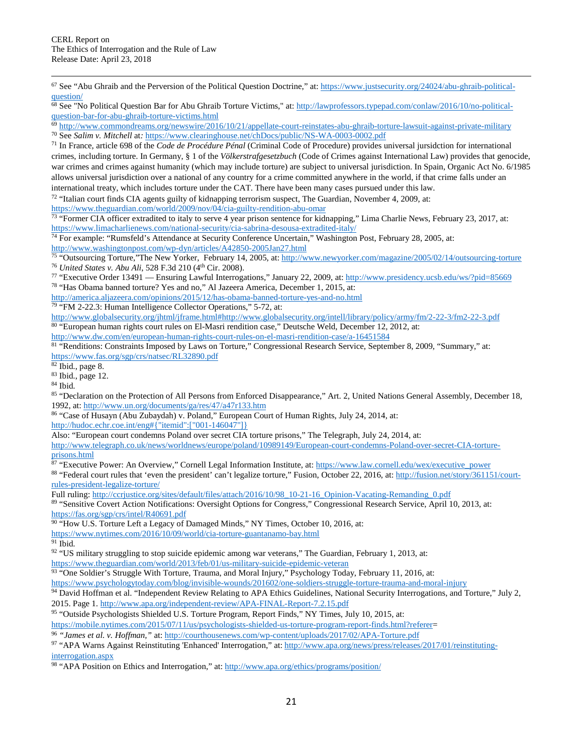<span id="page-20-0"></span> $67$  See "Abu Ghraib and the Perversion of the Political Question Doctrine," at: [https://www.justsecurity.org/24024/abu-ghraib-political](https://www.justsecurity.org/24024/abu-ghraib-political-question/)[question/](https://www.justsecurity.org/24024/abu-ghraib-political-question/)

<span id="page-20-1"></span><sup>68</sup> See "No Political Question Bar for Abu Ghraib Torture Victims," at[: http://lawprofessors.typepad.com/conlaw/2016/10/no-political](http://lawprofessors.typepad.com/conlaw/2016/10/no-political-question-bar-for-abu-ghraib-torture-victims.html)[question-bar-for-abu-ghraib-torture-victims.html](http://lawprofessors.typepad.com/conlaw/2016/10/no-political-question-bar-for-abu-ghraib-torture-victims.html)

<span id="page-20-3"></span><span id="page-20-2"></span><sup>69</sup> <http://www.commondreams.org/newswire/2016/10/21/appellate-court-reinstates-abu-ghraib-torture-lawsuit-against-private-military> <sup>70</sup> See *Salim v. Mitchell* at*:* <https://www.clearinghouse.net/chDocs/public/NS-WA-0003-0002.pdf>

<span id="page-20-4"></span><sup>71</sup> In France, article 698 of the *Code de Procédure Pénal* (Criminal Code of Procedure) provides universal jursidction for international crimes, including torture. In Germany, § 1 of the *Völkerstrafgesetzbuch* (Code of Crimes against International Law) provides that genocide, war crimes and crimes against humanity (which may include torture) are subject to universal jurisdiction. In Spain, Organic Act No. 6/1985 allows universal jurisdiction over a national of any country for a crime committed anywhere in the world, if that crime falls under an international treaty, which includes torture under the CAT. There have been many cases pursued under this law.

<span id="page-20-5"></span> $72$  "Italian court finds CIA agents guilty of kidnapping terrorism suspect, The Guardian, November 4, 2009, at:

<https://www.theguardian.com/world/2009/nov/04/cia-guilty-rendition-abu-omar>

<span id="page-20-6"></span><sup>73</sup> "Former CIA officer extradited to italy to serve 4 year prison sentence for kidnapping," Lima Charlie News, February 23, 2017, at: <https://www.limacharlienews.com/national-security/cia-sabrina-desousa-extradited-italy/>

<span id="page-20-7"></span><sup>74</sup> For example: "Rumsfeld's Attendance at Security Conference Uncertain," Washington Post, February 28, 2005, at: <http://www.washingtonpost.com/wp-dyn/articles/A42850-2005Jan27.html>

<span id="page-20-9"></span><span id="page-20-8"></span> $^{75}$  "Outsourcing Torture,"The New Yorker, February 14, 2005, at:  $\frac{http://www.newyorker.com/magazine/2005/02/14/outsourcing-torture}{16}$  United States v. Abu Ali, 528 F.3d 210 (4<sup>th</sup> Cir. 2008).

<span id="page-20-10"></span><sup>77</sup> "Executive Order 13491 — Ensuring Lawful Interrogations," January 22, 2009, at[: http://www.presidency.ucsb.edu/ws/?pid=85669](http://www.presidency.ucsb.edu/ws/?pid=85669) <sup>78</sup> "Has Obama banned torture? Yes and no," Al Jazeera America, December 1, 2015, at:

<span id="page-20-11"></span><http://america.aljazeera.com/opinions/2015/12/has-obama-banned-torture-yes-and-no.html>

<span id="page-20-12"></span><sup>79</sup> "FM 2-22.3: Human Intelligence Collector Operations," 5-72, at:

<span id="page-20-13"></span><http://www.globalsecurity.org/jhtml/jframe.html#http://www.globalsecurity.org/intell/library/policy/army/fm/2-22-3/fm2-22-3.pdf> <sup>80</sup> "European human rights court rules on El-Masri rendition case," Deutsche Weld, December 12, 2012, at:

<http://www.dw.com/en/european-human-rights-court-rules-on-el-masri-rendition-case/a-16451584>

<span id="page-20-14"></span><sup>81</sup> "Renditions: Constraints Imposed by Laws on Torture," Congressional Research Service, September 8, 2009, "Summary," at: <https://www.fas.org/sgp/crs/natsec/RL32890.pdf>

<span id="page-20-15"></span> $82$  Ibid., page 8.

<span id="page-20-16"></span><sup>83</sup> Ibid., page 12.

<span id="page-20-17"></span><sup>84</sup> Ibid.

 $\overline{\phantom{a}}$ 

<span id="page-20-18"></span>85 "Declaration on the Protection of All Persons from Enforced Disappearance," Art. 2, United Nations General Assembly, December 18, 1992, at[: http://www.un.org/documents/ga/res/47/a47r133.htm](http://www.un.org/documents/ga/res/47/a47r133.htm)

<span id="page-20-19"></span><sup>86</sup> "Case of Husayn (Abu Zubaydah) v. Poland," European Court of Human Rights, July 24, 2014, at:

[http://hudoc.echr.coe.int/eng#{"itemid":\["001-146047"\]}](http://hudoc.echr.coe.int/eng#%7B%22itemid%22:%5B%22001-146047%22%5D%7D)

Also: "European court condemns Poland over secret CIA torture prisons," The Telegraph, July 24, 2014, at: [http://www.telegraph.co.uk/news/worldnews/europe/poland/10989149/European-court-condemns-Poland-over-secret-CIA-torture](http://www.telegraph.co.uk/news/worldnews/europe/poland/10989149/European-court-condemns-Poland-over-secret-CIA-torture-prisons.html)[prisons.html](http://www.telegraph.co.uk/news/worldnews/europe/poland/10989149/European-court-condemns-Poland-over-secret-CIA-torture-prisons.html)

<span id="page-20-20"></span><sup>87</sup> "Executive Power: An Overview," Cornell Legal Information Institute, at: [https://www.law.cornell.edu/wex/executive\\_power](https://www.law.cornell.edu/wex/executive_power)

<span id="page-20-21"></span>88 "Federal court rules that 'even the president' can't legalize torture," Fusion, October 22, 2016, at: [http://fusion.net/story/361151/court](http://fusion.net/story/361151/court-rules-president-legalize-torture/)[rules-president-legalize-torture/](http://fusion.net/story/361151/court-rules-president-legalize-torture/)

Full ruling: [http://ccrjustice.org/sites/default/files/attach/2016/10/98\\_10-21-16\\_Opinion-Vacating-Remanding\\_0.pdf](http://ccrjustice.org/sites/default/files/attach/2016/10/98_10-21-16_Opinion-Vacating-Remanding_0.pdf)

<span id="page-20-22"></span><sup>89</sup> "Sensitive Covert Action Notifications: Oversight Options for Congress," Congressional Research Service, April 10, 2013, at: <https://fas.org/sgp/crs/intel/R40691.pdf>

<span id="page-20-23"></span><sup>90</sup> "How U.S. Torture Left a Legacy of Damaged Minds," NY Times, October 10, 2016, at:

<https://www.nytimes.com/2016/10/09/world/cia-torture-guantanamo-bay.html>

<span id="page-20-24"></span> $91$  Ibid.

<span id="page-20-25"></span> $92$  "US military struggling to stop suicide epidemic among war veterans," The Guardian, February 1, 2013, at: <https://www.theguardian.com/world/2013/feb/01/us-military-suicide-epidemic-veteran>

93 "One Soldier's Struggle With Torture, Trauma, and Moral Injury," Psychology Today, February 11, 2016, at:

<span id="page-20-27"></span><span id="page-20-26"></span><https://www.psychologytoday.com/blog/invisible-wounds/201602/one-soldiers-struggle-torture-trauma-and-moral-injury>

94 David Hoffman et al. "Independent Review Relating to APA Ethics Guidelines, National Security Interrogations, and Torture," July 2, 2015. Page 1[. http://www.apa.org/independent-review/APA-FINAL-Report-7.2.15.pdf](http://www.apa.org/independent-review/APA-FINAL-Report-7.2.15.pdf)

<sup>95</sup> "Outside Psychologists Shielded U.S. Torture Program, Report Finds," NY Times, July 10, 2015, at:

<span id="page-20-28"></span>[https://mobile.nytimes.com/2015/07/11/us/psychologists-shielded-us-torture-program-report-finds.html?referer=](https://mobile.nytimes.com/2015/07/11/us/psychologists-shielded-us-torture-program-report-finds.html?referer) 96 *"James et al. v. Hoffman,"* at:<http://courthousenews.com/wp-content/uploads/2017/02/APA-Torture.pdf>

<span id="page-20-29"></span>

<span id="page-20-30"></span><sup>97</sup> "APA Warns Against Reinstituting 'Enhanced' Interrogation," at: [http://www.apa.org/news/press/releases/2017/01/reinstituting](http://www.apa.org/news/press/releases/2017/01/reinstituting-interrogation.aspx)[interrogation.aspx](http://www.apa.org/news/press/releases/2017/01/reinstituting-interrogation.aspx)

<span id="page-20-31"></span><sup>98</sup> "APA Position on Ethics and Interrogation," at[: http://www.apa.org/ethics/programs/position/](http://www.apa.org/ethics/programs/position/)